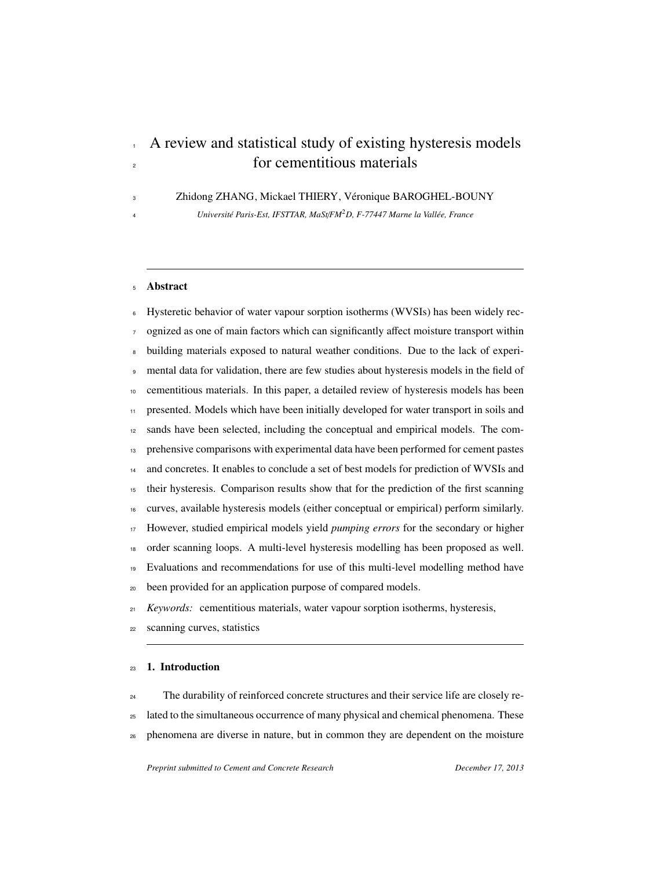# A review and statistical study of existing hysteresis models <sup>2</sup> for cementitious materials

Zhidong ZHANG, Mickael THIERY, Veronique BAROGHEL-BOUNY ´

*Universit´e Paris-Est, IFSTTAR, MaSt*/*FM*<sup>2</sup> *D, F-77447 Marne la Vall´ee, France*

#### Abstract

Hysteretic behavior of water vapour sorption isotherms (WVSIs) has been widely recognized as one of main factors which can significantly affect moisture transport within building materials exposed to natural weather conditions. Due to the lack of experi- mental data for validation, there are few studies about hysteresis models in the field of cementitious materials. In this paper, a detailed review of hysteresis models has been presented. Models which have been initially developed for water transport in soils and sands have been selected, including the conceptual and empirical models. The com- prehensive comparisons with experimental data have been performed for cement pastes <sup>14</sup> and concretes. It enables to conclude a set of best models for prediction of WVSIs and their hysteresis. Comparison results show that for the prediction of the first scanning curves, available hysteresis models (either conceptual or empirical) perform similarly. However, studied empirical models yield *pumping errors* for the secondary or higher order scanning loops. A multi-level hysteresis modelling has been proposed as well. Evaluations and recommendations for use of this multi-level modelling method have been provided for an application purpose of compared models. <sup>21</sup> *Keywords:* cementitious materials, water vapour sorption isotherms, hysteresis,

scanning curves, statistics

## 1. Introduction

 The durability of reinforced concrete structures and their service life are closely re-<sup>25</sup> lated to the simultaneous occurrence of many physical and chemical phenomena. These phenomena are diverse in nature, but in common they are dependent on the moisture

*Preprint submitted to Cement and Concrete Research December 17, 2013*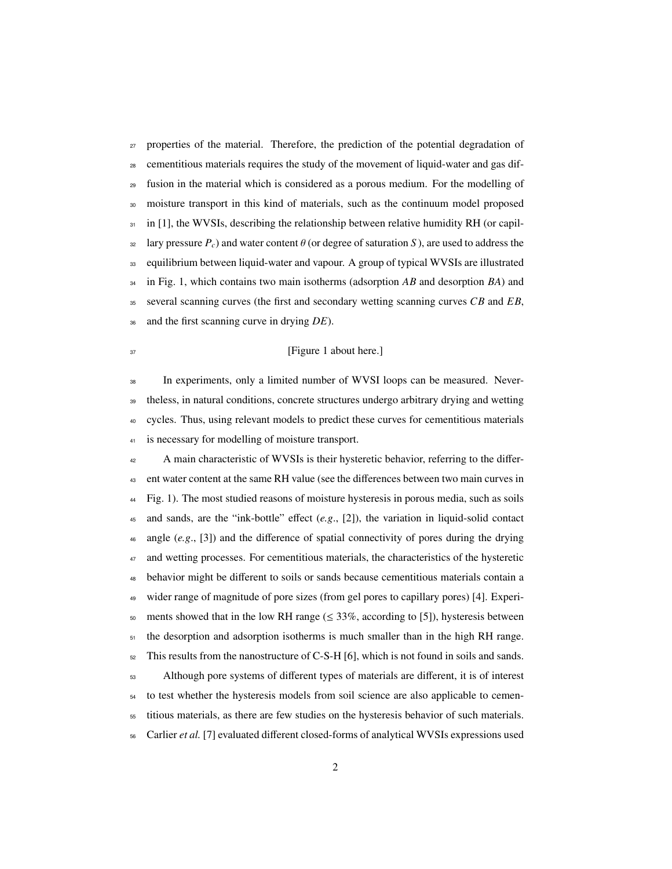<sup>27</sup> properties of the material. Therefore, the prediction of the potential degradation of cementitious materials requires the study of the movement of liquid-water and gas dif- fusion in the material which is considered as a porous medium. For the modelling of moisture transport in this kind of materials, such as the continuum model proposed in [1], the WVSIs, describing the relationship between relative humidity RH (or capil- $\frac{32}{2}$  lary pressure  $P_c$ ) and water content  $\theta$  (or degree of saturation *S*), are used to address the equilibrium between liquid-water and vapour. A group of typical WVSIs are illustrated in Fig. 1, which contains two main isotherms (adsorption *AB* and desorption *BA*) and several scanning curves (the first and secondary wetting scanning curves *CB* and *EB*, and the first scanning curve in drying *DE*).

## <sup>37</sup> [Figure 1 about here.]

 In experiments, only a limited number of WVSI loops can be measured. Never- theless, in natural conditions, concrete structures undergo arbitrary drying and wetting cycles. Thus, using relevant models to predict these curves for cementitious materials 41 is necessary for modelling of moisture transport.

 A main characteristic of WVSIs is their hysteretic behavior, referring to the differ- ent water content at the same RH value (see the differences between two main curves in Fig. 1). The most studied reasons of moisture hysteresis in porous media, such as soils 45 and sands, are the "ink-bottle" effect  $(e.g., [2])$ , the variation in liquid-solid contact angle (*e.g*., [3]) and the difference of spatial connectivity of pores during the drying <sup>47</sup> and wetting processes. For cementitious materials, the characteristics of the hysteretic behavior might be different to soils or sands because cementitious materials contain a wider range of magnitude of pore sizes (from gel pores to capillary pores) [4]. Experi-50 ments showed that in the low RH range ( $\leq$  33%, according to [5]), hysteresis between 51 the desorption and adsorption isotherms is much smaller than in the high RH range. This results from the nanostructure of C-S-H [6], which is not found in soils and sands. Although pore systems of different types of materials are different, it is of interest <sup>54</sup> to test whether the hysteresis models from soil science are also applicable to cemen- titious materials, as there are few studies on the hysteresis behavior of such materials. Carlier *et al.* [7] evaluated different closed-forms of analytical WVSIs expressions used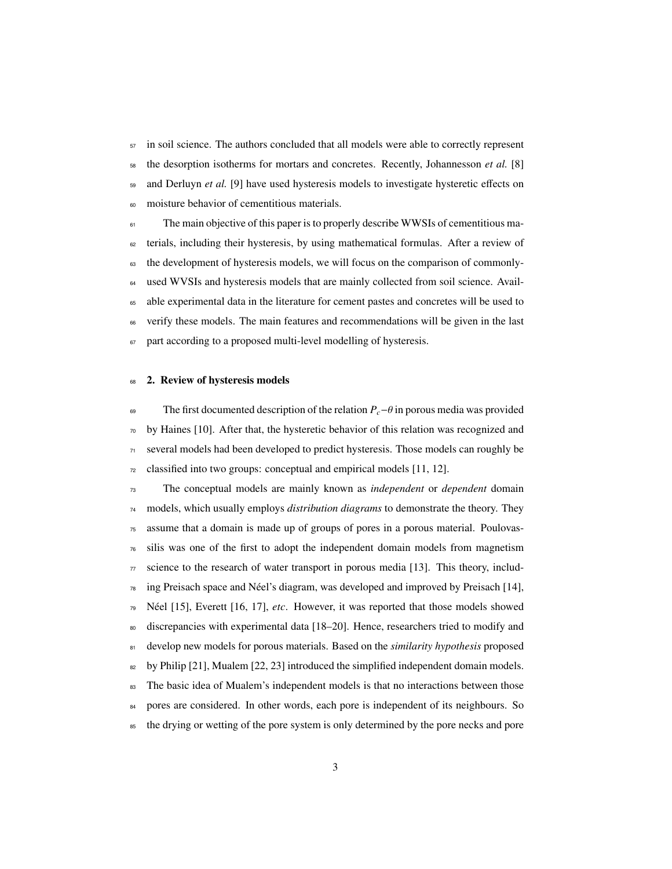in soil science. The authors concluded that all models were able to correctly represent the desorption isotherms for mortars and concretes. Recently, Johannesson *et al.* [8] and Derluyn *et al.* [9] have used hysteresis models to investigate hysteretic effects on moisture behavior of cementitious materials.

<sup>61</sup> The main objective of this paper is to properly describe WWSIs of cementitious ma-<sup>62</sup> terials, including their hysteresis, by using mathematical formulas. After a review of <sup>63</sup> the development of hysteresis models, we will focus on the comparison of commonly-<sup>64</sup> used WVSIs and hysteresis models that are mainly collected from soil science. Avail-<sup>65</sup> able experimental data in the literature for cement pastes and concretes will be used to <sup>66</sup> verify these models. The main features and recommendations will be given in the last <sup>67</sup> part according to a proposed multi-level modelling of hysteresis.

## 68 2. Review of hysteresis models

The first documented description of the relation  $P_c$ −θ in porous media was provided  $\sigma$  by Haines [10]. After that, the hysteretic behavior of this relation was recognized and <sup>71</sup> several models had been developed to predict hysteresis. Those models can roughly be  $72$  classified into two groups: conceptual and empirical models [11, 12].

<sup>73</sup> The conceptual models are mainly known as *independent* or *dependent* domain <sup>74</sup> models, which usually employs *distribution diagrams* to demonstrate the theory. They <sup>75</sup> assume that a domain is made up of groups of pores in a porous material. Poulovas- $76$  silis was one of the first to adopt the independent domain models from magnetism  $\pi$  science to the research of water transport in porous media [13]. This theory, includ- $78$  ing Preisach space and Néel's diagram, was developed and improved by Preisach [14],  $79$  Néel [15], Everett [16, 17], *etc*. However, it was reported that those models showed <sup>80</sup> discrepancies with experimental data [18–20]. Hence, researchers tried to modify and <sup>81</sup> develop new models for porous materials. Based on the *similarity hypothesis* proposed  $\frac{1}{82}$  by Philip [21], Mualem [22, 23] introduced the simplified independent domain models. <sup>83</sup> The basic idea of Mualem's independent models is that no interactions between those 84 pores are considered. In other words, each pore is independent of its neighbours. So <sup>85</sup> the drying or wetting of the pore system is only determined by the pore necks and pore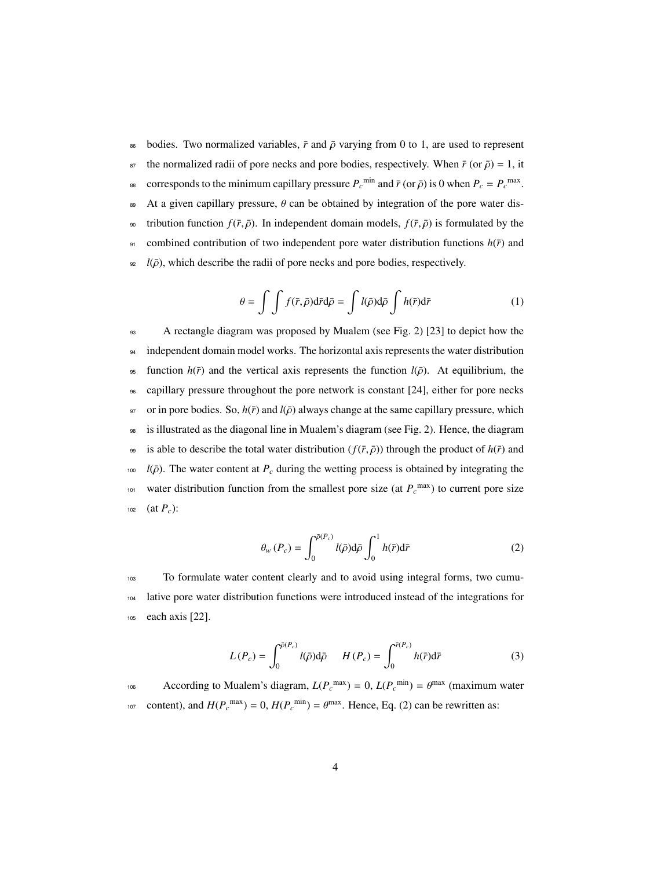86 bodies. Two normalized variables,  $\bar{r}$  and  $\bar{\rho}$  varying from 0 to 1, are used to represent <sup>87</sup> the normalized radii of pore necks and pore bodies, respectively. When  $\bar{r}$  (or  $\bar{\rho}$ ) = 1, it corresponds to the minimum capillary pressure  $P_c^{\text{min}}$  and  $\bar{r}$  (or  $\bar{\rho}$ ) is 0 when  $P_c = P_c^{\text{max}}$ . 89 At a given capillary pressure,  $\theta$  can be obtained by integration of the pore water dis-90 tribution function  $f(\bar{r}, \bar{\rho})$ . In independent domain models,  $f(\bar{r}, \bar{\rho})$  is formulated by the 91 combined contribution of two independent pore water distribution functions  $h(\bar{r})$  and  $\frac{1}{2}$  *l*( $\bar{\rho}$ ), which describe the radii of pore necks and pore bodies, respectively.

$$
\theta = \int \int f(\bar{r}, \bar{\rho}) d\bar{r} d\bar{\rho} = \int l(\bar{\rho}) d\bar{\rho} \int h(\bar{r}) d\bar{r}
$$
 (1)

<sup>93</sup> A rectangle diagram was proposed by Mualem (see Fig. 2) [23] to depict how the 94 independent domain model works. The horizontal axis represents the water distribution <sup>95</sup> function  $h(\bar{r})$  and the vertical axis represents the function  $l(\bar{\rho})$ . At equilibrium, the <sup>96</sup> capillary pressure throughout the pore network is constant [24], either for pore necks  $97$  or in pore bodies. So,  $h(\bar{r})$  and  $l(\bar{\rho})$  always change at the same capillary pressure, which <sup>98</sup> is illustrated as the diagonal line in Mualem's diagram (see Fig. 2). Hence, the diagram 99 is able to describe the total water distribution  $(f(\bar{r}, \bar{\rho}))$  through the product of  $h(\bar{r})$  and  $100$  *l*( $\bar{\rho}$ ). The water content at  $P_c$  during the wetting process is obtained by integrating the water distribution function from the smallest pore size (at  $P_c^{\text{max}}$ ) to current pore size 102 (at  $P_c$ ):

$$
\theta_{w}\left(P_{c}\right) = \int_{0}^{\bar{\rho}\left(P_{c}\right)} l(\bar{\rho}) d\bar{\rho} \int_{0}^{1} h(\bar{r}) d\bar{r}
$$
 (2)

<sup>103</sup> To formulate water content clearly and to avoid using integral forms, two cumu-<sup>104</sup> lative pore water distribution functions were introduced instead of the integrations for <sup>105</sup> each axis [22].

$$
L(P_c) = \int_0^{\bar{p}(P_c)} l(\bar{\rho}) d\bar{\rho} \qquad H(P_c) = \int_0^{\bar{r}(P_c)} h(\bar{r}) d\bar{r}
$$
 (3)

According to Mualem's diagram,  $L(P_c^{\text{max}}) = 0$ ,  $L(P_c^{\text{min}}) = \theta^{\text{max}}$  (maximum water content), and  $H(P_c^{\text{max}}) = 0$ ,  $H(P_c^{\text{min}}) = \theta^{\text{max}}$ . Hence, Eq. (2) can be rewritten as: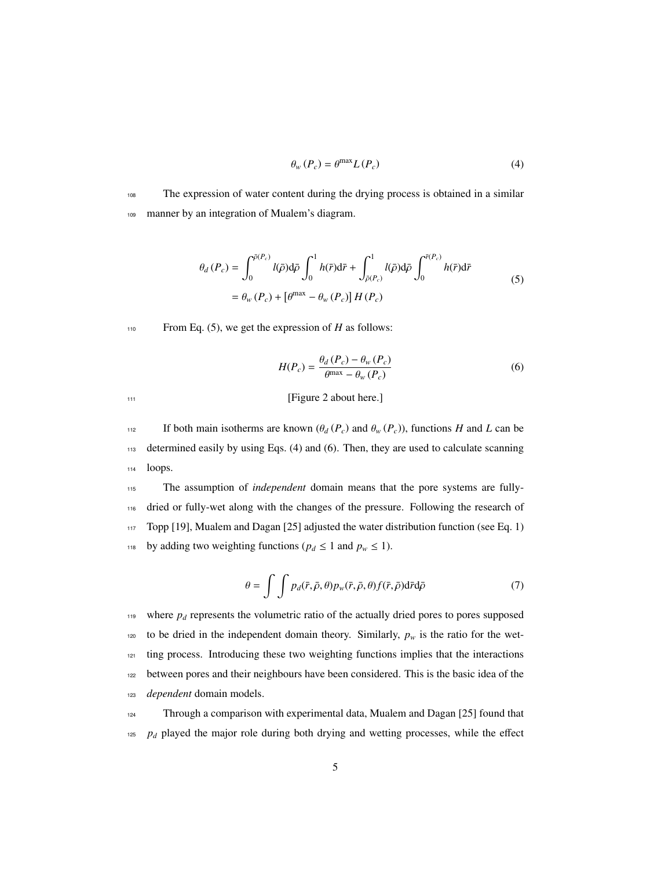$$
\theta_{w} \left( P_{c} \right) = \theta^{\max} L \left( P_{c} \right) \tag{4}
$$

<sup>108</sup> The expression of water content during the drying process is obtained in a similar <sup>109</sup> manner by an integration of Mualem's diagram.

$$
\theta_d(P_c) = \int_0^{\bar{p}(P_c)} l(\bar{\rho}) d\bar{\rho} \int_0^1 h(\bar{r}) d\bar{r} + \int_{\bar{\rho}(P_c)}^1 l(\bar{\rho}) d\bar{\rho} \int_0^{\bar{r}(P_c)} h(\bar{r}) d\bar{r}
$$
\n
$$
= \theta_w(P_c) + \left[\theta^{\text{max}} - \theta_w(P_c)\right] H(P_c) \tag{5}
$$

110 From Eq.  $(5)$ , we get the expression of *H* as follows:

$$
H(P_c) = \frac{\theta_d \left( P_c \right) - \theta_w \left( P_c \right)}{\theta^{\max} - \theta_w \left( P_c \right)}\tag{6}
$$

<sup>111</sup> [Figure 2 about here.]

112 If both main isotherms are known  $(\theta_d(P_c))$  and  $\theta_w(P_c)$ , functions *H* and *L* can be <sup>113</sup> determined easily by using Eqs. (4) and (6). Then, they are used to calculate scanning <sup>114</sup> loops.

 The assumption of *independent* domain means that the pore systems are fully- dried or fully-wet along with the changes of the pressure. Following the research of Topp [19], Mualem and Dagan [25] adjusted the water distribution function (see Eq. 1) <sup>118</sup> by adding two weighting functions ( $p_d \le 1$  and  $p_w \le 1$ ).

$$
\theta = \int \int p_d(\bar{r}, \bar{\rho}, \theta) p_w(\bar{r}, \bar{\rho}, \theta) f(\bar{r}, \bar{\rho}) d\bar{r} d\bar{\rho}
$$
 (7)

 $119$  where  $p_d$  represents the volumetric ratio of the actually dried pores to pores supposed 120 to be dried in the independent domain theory. Similarly,  $p_w$  is the ratio for the wet-<sup>121</sup> ting process. Introducing these two weighting functions implies that the interactions <sup>122</sup> between pores and their neighbours have been considered. This is the basic idea of the <sup>123</sup> *dependent* domain models.

<sup>124</sup> Through a comparison with experimental data, Mualem and Dagan [25] found that  $125$  *p<sub>d</sub>* played the major role during both drying and wetting processes, while the effect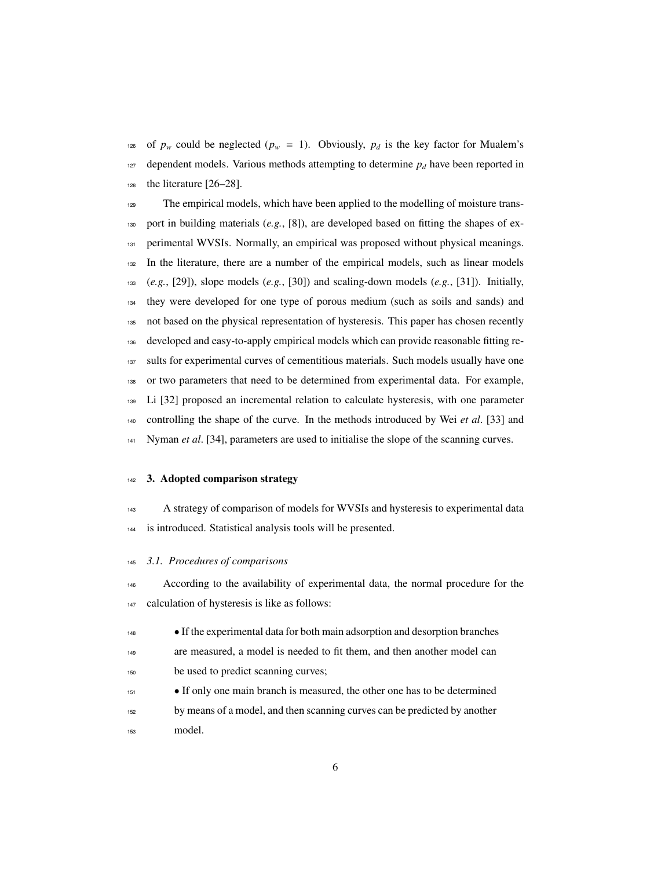<sup>126</sup> of  $p_w$  could be neglected ( $p_w = 1$ ). Obviously,  $p_d$  is the key factor for Mualem's 127 dependent models. Various methods attempting to determine  $p_d$  have been reported in the literature  $[26-28]$ .

 The empirical models, which have been applied to the modelling of moisture trans- port in building materials (*e.g.*, [8]), are developed based on fitting the shapes of ex- perimental WVSIs. Normally, an empirical was proposed without physical meanings. In the literature, there are a number of the empirical models, such as linear models (*e.g.*, [29]), slope models (*e.g.*, [30]) and scaling-down models (*e.g.*, [31]). Initially, they were developed for one type of porous medium (such as soils and sands) and not based on the physical representation of hysteresis. This paper has chosen recently developed and easy-to-apply empirical models which can provide reasonable fitting re- sults for experimental curves of cementitious materials. Such models usually have one or two parameters that need to be determined from experimental data. For example, Li [32] proposed an incremental relation to calculate hysteresis, with one parameter controlling the shape of the curve. In the methods introduced by Wei *et al*. [33] and Nyman *et al*. [34], parameters are used to initialise the slope of the scanning curves.

## 3. Adopted comparison strategy

 A strategy of comparison of models for WVSIs and hysteresis to experimental data is introduced. Statistical analysis tools will be presented.

#### *3.1. Procedures of comparisons*

 According to the availability of experimental data, the normal procedure for the calculation of hysteresis is like as follows:

- If the experimental data for both main adsorption and desorption branches are measured, a model is needed to fit them, and then another model can be used to predict scanning curves;
- 
- <sup>151</sup> If only one main branch is measured, the other one has to be determined by means of a model, and then scanning curves can be predicted by another model.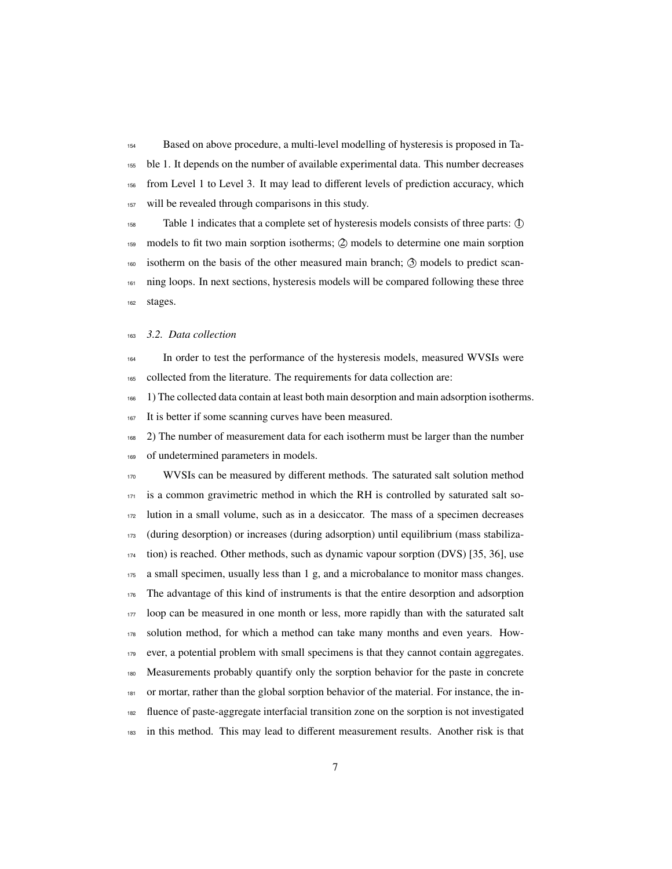Based on above procedure, a multi-level modelling of hysteresis is proposed in Ta- ble 1. It depends on the number of available experimental data. This number decreases from Level 1 to Level 3. It may lead to different levels of prediction accuracy, which will be revealed through comparisons in this study.

 Table 1 indicates that a complete set of hysteresis models consists of three parts: O1 models to fit two main sorption isotherms; O2 models to determine one main sorption isotherm on the basis of the other measured main branch;  $\circled{3}$  models to predict scan-<sup>161</sup> ning loops. In next sections, hysteresis models will be compared following these three stages.

### *3.2. Data collection*

 In order to test the performance of the hysteresis models, measured WVSIs were collected from the literature. The requirements for data collection are:

1) The collected data contain at least both main desorption and main adsorption isotherms.

167 It is better if some scanning curves have been measured.

2) The number of measurement data for each isotherm must be larger than the number

of undetermined parameters in models.

 WVSIs can be measured by different methods. The saturated salt solution method is a common gravimetric method in which the RH is controlled by saturated salt so- lution in a small volume, such as in a desiccator. The mass of a specimen decreases (during desorption) or increases (during adsorption) until equilibrium (mass stabiliza- tion) is reached. Other methods, such as dynamic vapour sorption (DVS) [35, 36], use a small specimen, usually less than 1 g, and a microbalance to monitor mass changes. The advantage of this kind of instruments is that the entire desorption and adsorption loop can be measured in one month or less, more rapidly than with the saturated salt solution method, for which a method can take many months and even years. How- ever, a potential problem with small specimens is that they cannot contain aggregates. Measurements probably quantify only the sorption behavior for the paste in concrete or mortar, rather than the global sorption behavior of the material. For instance, the in- fluence of paste-aggregate interfacial transition zone on the sorption is not investigated in this method. This may lead to different measurement results. Another risk is that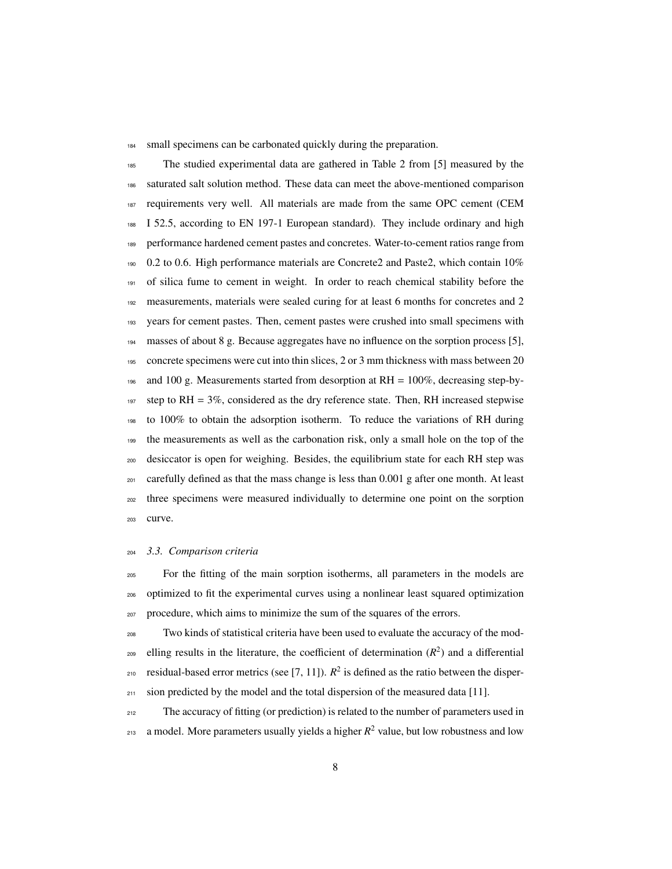184 small specimens can be carbonated quickly during the preparation.

 The studied experimental data are gathered in Table 2 from [5] measured by the saturated salt solution method. These data can meet the above-mentioned comparison requirements very well. All materials are made from the same OPC cement (CEM I 52.5, according to EN 197-1 European standard). They include ordinary and high performance hardened cement pastes and concretes. Water-to-cement ratios range from  $190 \quad 0.2$  to 0.6. High performance materials are Concrete2 and Paste2, which contain 10% of silica fume to cement in weight. In order to reach chemical stability before the 192 measurements, materials were sealed curing for at least 6 months for concretes and 2 years for cement pastes. Then, cement pastes were crushed into small specimens with masses of about 8 g. Because aggregates have no influence on the sorption process [5], concrete specimens were cut into thin slices, 2 or 3 mm thickness with mass between 20 and 100 g. Measurements started from desorption at RH = 100%, decreasing step-by-197 step to  $RH = 3\%$ , considered as the dry reference state. Then, RH increased stepwise to 100% to obtain the adsorption isotherm. To reduce the variations of RH during the measurements as well as the carbonation risk, only a small hole on the top of the desiccator is open for weighing. Besides, the equilibrium state for each RH step was  $_{201}$  carefully defined as that the mass change is less than 0.001 g after one month. At least three specimens were measured individually to determine one point on the sorption curve.

## *3.3. Comparison criteria*

 For the fitting of the main sorption isotherms, all parameters in the models are optimized to fit the experimental curves using a nonlinear least squared optimization procedure, which aims to minimize the sum of the squares of the errors.

 Two kinds of statistical criteria have been used to evaluate the accuracy of the modelling results in the literature, the coefficient of determination  $(R^2)$  and a differential  $_{210}$  residual-based error metrics (see [7, 11]).  $R^2$  is defined as the ratio between the disper-<sup>211</sup> sion predicted by the model and the total dispersion of the measured data [11].

 The accuracy of fitting (or prediction) is related to the number of parameters used in  $_{213}$  a model. More parameters usually yields a higher  $R^2$  value, but low robustness and low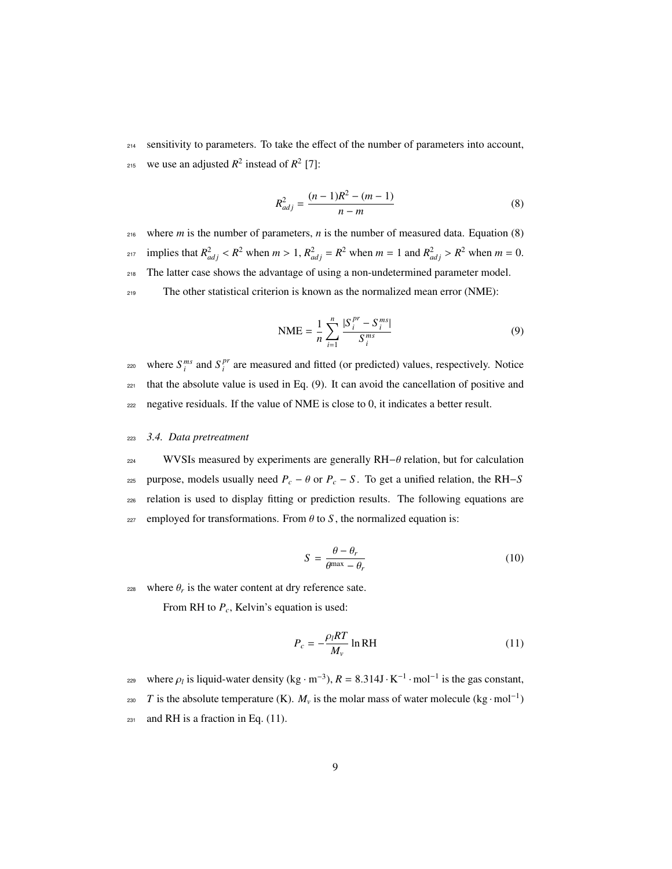214 sensitivity to parameters. To take the effect of the number of parameters into account, <sup>215</sup> we use an adjusted  $R^2$  instead of  $R^2$  [7]:

$$
R_{adj}^2 = \frac{(n-1)R^2 - (m-1)}{n-m}
$$
 (8)

<sup>216</sup> where *m* is the number of parameters, *n* is the number of measured data. Equation (8)  $a_{217}$  implies that  $R_{adj}^2 < R^2$  when  $m > 1$ ,  $R_{adj}^2 = R^2$  when  $m = 1$  and  $R_{adj}^2 > R^2$  when  $m = 0$ . <sup>218</sup> The latter case shows the advantage of using a non-undetermined parameter model. <sup>219</sup> The other statistical criterion is known as the normalized mean error (NME):

$$
NME = \frac{1}{n} \sum_{i=1}^{n} \frac{|S_i^{pr} - S_i^{ms}|}{S_i^{ms}}
$$
(9)

where  $S_i^{ms}$  and  $S_i^{pr}$ <sup>220</sup> where  $S_i^{ms}$  and  $S_i^{pr}$  are measured and fitted (or predicted) values, respectively. Notice  $221$  that the absolute value is used in Eq. (9). It can avoid the cancellation of positive and <sup>222</sup> negative residuals. If the value of NME is close to 0, it indicates a better result.

#### <sup>223</sup> *3.4. Data pretreatment*

224 WVSIs measured by experiments are generally RH $-\theta$  relation, but for calculation <sup>225</sup> purpose, models usually need  $P_c$  − θ or  $P_c$  − S. To get a unified relation, the RH−S <sup>226</sup> relation is used to display fitting or prediction results. The following equations are  $227$  employed for transformations. From  $\theta$  to  $S$ , the normalized equation is:

$$
S = \frac{\theta - \theta_r}{\theta^{\max} - \theta_r} \tag{10}
$$

where  $\theta_r$  is the water content at dry reference sate.

From RH to *Pc*, Kelvin's equation is used:

$$
P_c = -\frac{\rho_l RT}{M_v} \ln RH \tag{11}
$$

where  $\rho_l$  is liquid-water density (kg · m<sup>-3</sup>),  $R = 8.314 \text{J} \cdot \text{K}^{-1} \cdot \text{mol}^{-1}$  is the gas constant, 230 *T* is the absolute temperature (K).  $M_v$  is the molar mass of water molecule (kg · mol<sup>−1</sup>)  $_{231}$  and RH is a fraction in Eq. (11).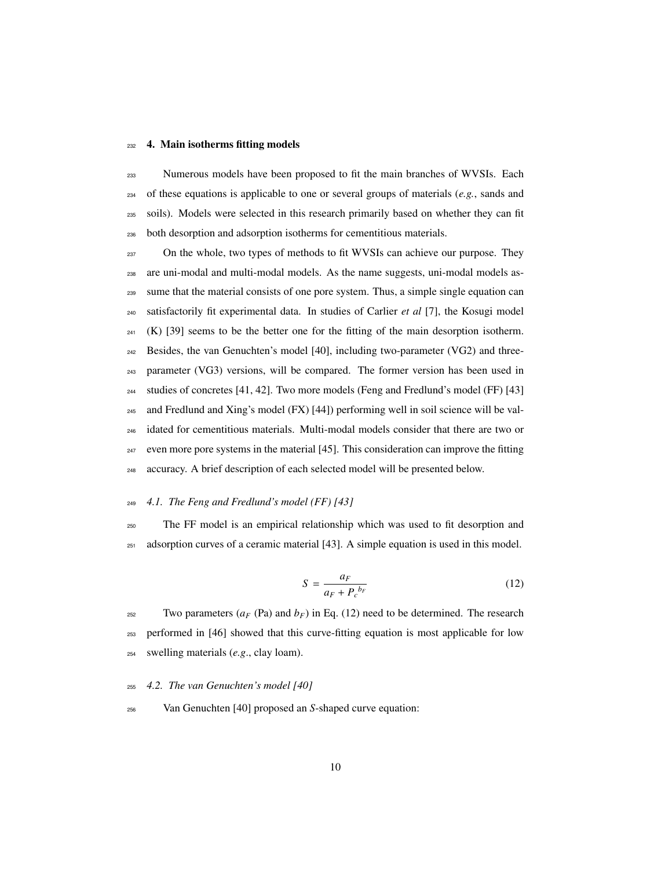#### 4. Main isotherms fitting models

 Numerous models have been proposed to fit the main branches of WVSIs. Each of these equations is applicable to one or several groups of materials (*e.g.*, sands and soils). Models were selected in this research primarily based on whether they can fit both desorption and adsorption isotherms for cementitious materials.

237 On the whole, two types of methods to fit WVSIs can achieve our purpose. They are uni-modal and multi-modal models. As the name suggests, uni-modal models as- sume that the material consists of one pore system. Thus, a simple single equation can satisfactorily fit experimental data. In studies of Carlier *et al* [7], the Kosugi model (K) [39] seems to be the better one for the fitting of the main desorption isotherm. Besides, the van Genuchten's model [40], including two-parameter (VG2) and three- parameter (VG3) versions, will be compared. The former version has been used in studies of concretes [41, 42]. Two more models (Feng and Fredlund's model (FF) [43] and Fredlund and Xing's model (FX) [44]) performing well in soil science will be val- idated for cementitious materials. Multi-modal models consider that there are two or even more pore systems in the material [45]. This consideration can improve the fitting accuracy. A brief description of each selected model will be presented below.

## *4.1. The Feng and Fredlund's model (FF) [43]*

 The FF model is an empirical relationship which was used to fit desorption and adsorption curves of a ceramic material [43]. A simple equation is used in this model.

$$
S = \frac{a_F}{a_F + P_c^{b_F}}\tag{12}
$$

252 Two parameters  $(a_F \text{ (Pa)} \text{ and } b_F)$  in Eq. (12) need to be determined. The research performed in [46] showed that this curve-fitting equation is most applicable for low swelling materials (*e.g*., clay loam).

*4.2. The van Genuchten's model [40]*

Van Genuchten [40] proposed an *S*-shaped curve equation: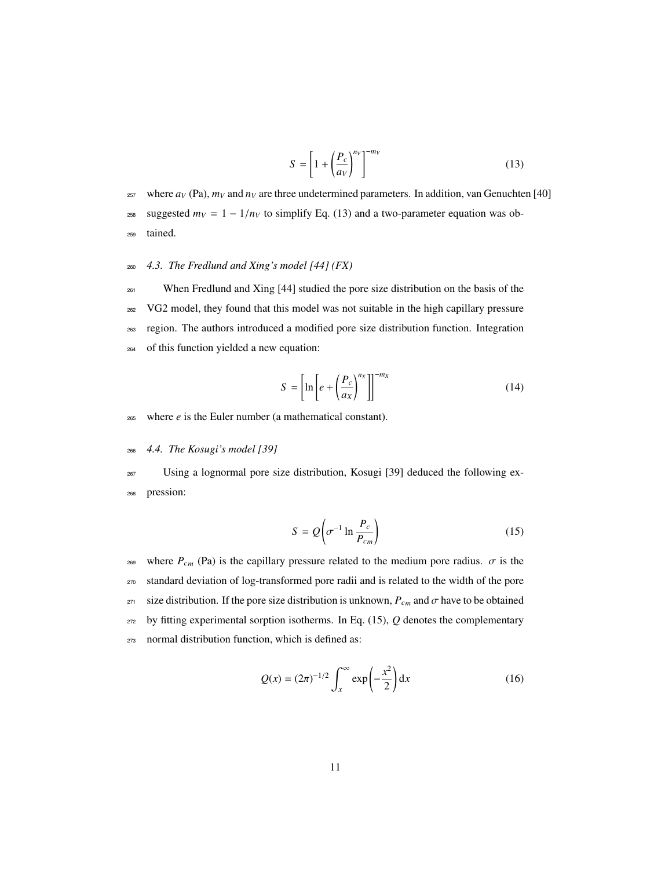$$
S = \left[1 + \left(\frac{P_c}{a_V}\right)^{n_V}\right]^{-m_V} \tag{13}
$$

<sup>257</sup> where  $a_V$  (Pa),  $m_V$  and  $n_V$  are three undetermined parameters. In addition, van Genuchten [40] <sup>258</sup> suggested  $m_V = 1 - 1/n_V$  to simplify Eq. (13) and a two-parameter equation was ob-<sup>259</sup> tained.

## <sup>260</sup> *4.3. The Fredlund and Xing's model [44] (FX)*

<sup>261</sup> When Fredlund and Xing [44] studied the pore size distribution on the basis of the VG2 model, they found that this model was not suitable in the high capillary pressure region. The authors introduced a modified pore size distribution function. Integration of this function yielded a new equation:

$$
S = \left[ \ln \left[ e + \left( \frac{P_c}{a_X} \right)^{n_X} \right] \right]^{-m_X} \tag{14}
$$

- $265$  where  $e$  is the Euler number (a mathematical constant).
- <sup>266</sup> *4.4. The Kosugi's model [39]*

<sup>267</sup> Using a lognormal pore size distribution, Kosugi [39] deduced the following ex-<sup>268</sup> pression:

$$
S = Q\left(\sigma^{-1} \ln \frac{P_c}{P_{cm}}\right) \tag{15}
$$

<sup>269</sup> where  $P_{cm}$  (Pa) is the capillary pressure related to the medium pore radius.  $\sigma$  is the <sup>270</sup> standard deviation of log-transformed pore radii and is related to the width of the pore <sup>271</sup> size distribution. If the pore size distribution is unknown,  $P_{cm}$  and  $\sigma$  have to be obtained  $272$  by fitting experimental sorption isotherms. In Eq. (15),  $Q$  denotes the complementary <sup>273</sup> normal distribution function, which is defined as:

$$
Q(x) = (2\pi)^{-1/2} \int_{x}^{\infty} \exp\left(-\frac{x^2}{2}\right) dx
$$
 (16)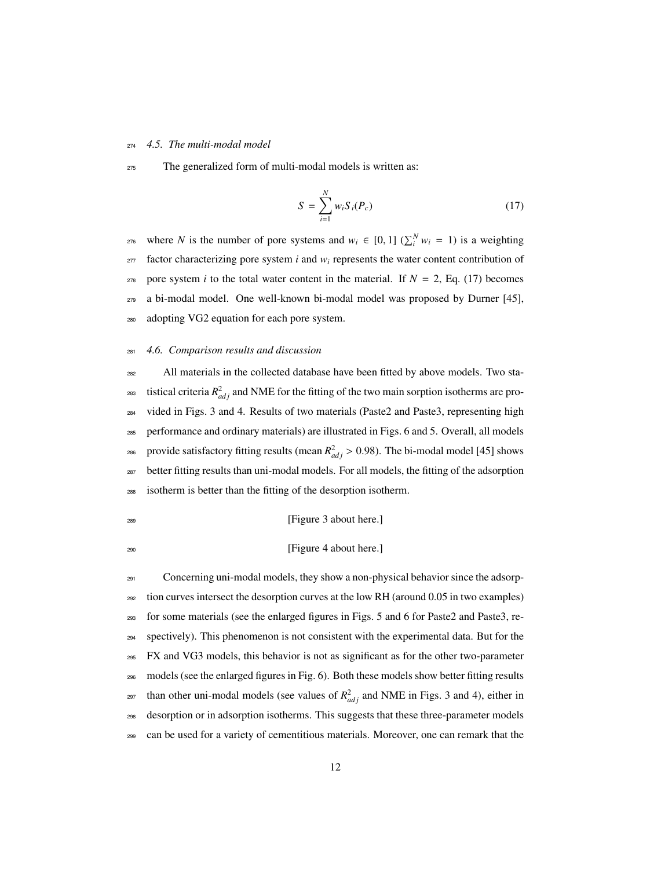#### *4.5. The multi-modal model*

The generalized form of multi-modal models is written as:

$$
S = \sum_{i=1}^{N} w_i S_i(P_c)
$$
 (17)

where *N* is the number of pore systems and  $w_i \in [0, 1]$  ( $\sum_i^N w_i = 1$ ) is a weighting factor characterizing pore system *i* and  $w_i$  represents the water content contribution of <sub>278</sub> pore system *i* to the total water content in the material. If  $N = 2$ , Eq. (17) becomes a bi-modal model. One well-known bi-modal model was proposed by Durner [45], adopting VG2 equation for each pore system.

## *4.6. Comparison results and discussion*

 All materials in the collected database have been fitted by above models. Two sta-<sup>283</sup> tistical criteria  $R_{adj}^2$  and NME for the fitting of the two main sorption isotherms are pro- vided in Figs. 3 and 4. Results of two materials (Paste2 and Paste3, representing high performance and ordinary materials) are illustrated in Figs. 6 and 5. Overall, all models <sup>286</sup> provide satisfactory fitting results (mean  $R_{adj}^2 > 0.98$ ). The bi-modal model [45] shows better fitting results than uni-modal models. For all models, the fitting of the adsorption isotherm is better than the fitting of the desorption isotherm.

#### <sup>289</sup> [Figure 3 about here.]

## [Figure 4 about here.]

 Concerning uni-modal models, they show a non-physical behavior since the adsorp- tion curves intersect the desorption curves at the low RH (around 0.05 in two examples) for some materials (see the enlarged figures in Figs. 5 and 6 for Paste2 and Paste3, re- spectively). This phenomenon is not consistent with the experimental data. But for the FX and VG3 models, this behavior is not as significant as for the other two-parameter models (see the enlarged figures in Fig. 6). Both these models show better fitting results <sup>297</sup> than other uni-modal models (see values of  $R<sup>2</sup><sub>adj</sub>$  and NME in Figs. 3 and 4), either in desorption or in adsorption isotherms. This suggests that these three-parameter models can be used for a variety of cementitious materials. Moreover, one can remark that the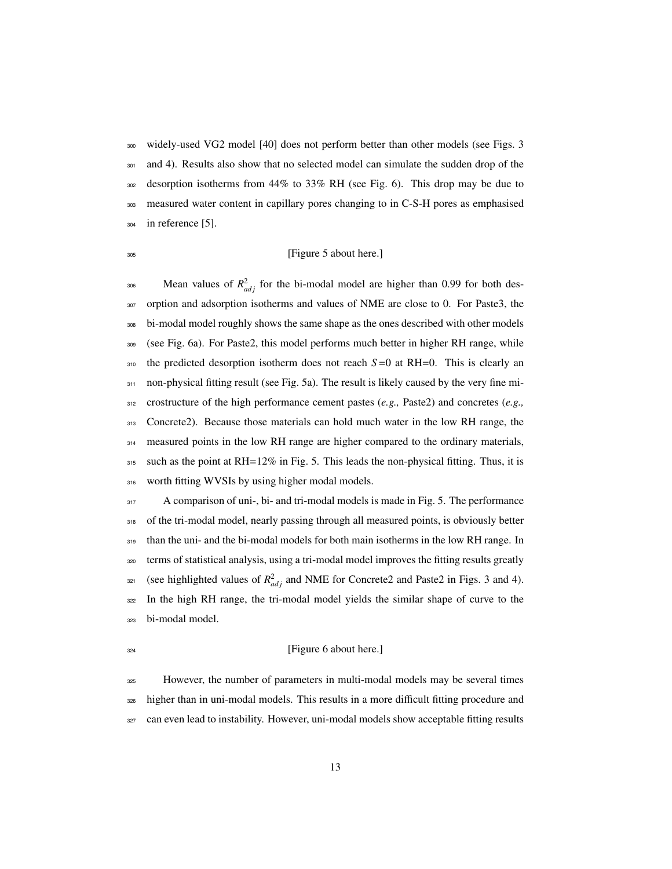widely-used VG2 model [40] does not perform better than other models (see Figs. 3 301 and 4). Results also show that no selected model can simulate the sudden drop of the desorption isotherms from 44% to 33% RH (see Fig. 6). This drop may be due to measured water content in capillary pores changing to in C-S-H pores as emphasised in reference [5].

## [Figure 5 about here.]

 $\delta$ <sup>306</sup> Mean values of  $R^2_{adj}$  for the bi-modal model are higher than 0.99 for both des- orption and adsorption isotherms and values of NME are close to 0. For Paste3, the bi-modal model roughly shows the same shape as the ones described with other models (see Fig. 6a). For Paste2, this model performs much better in higher RH range, while the predicted desorption isotherm does not reach  $S=0$  at RH=0. This is clearly an 311 non-physical fitting result (see Fig. 5a). The result is likely caused by the very fine mi- crostructure of the high performance cement pastes (*e.g.,* Paste2) and concretes (*e.g.,* Concrete2). Because those materials can hold much water in the low RH range, the measured points in the low RH range are higher compared to the ordinary materials, such as the point at RH=12% in Fig. 5. This leads the non-physical fitting. Thus, it is 316 worth fitting WVSIs by using higher modal models.

317 A comparison of uni-, bi- and tri-modal models is made in Fig. 5. The performance 318 of the tri-modal model, nearly passing through all measured points, is obviously better than the uni- and the bi-modal models for both main isotherms in the low RH range. In terms of statistical analysis, using a tri-modal model improves the fitting results greatly s<sub>21</sub> (see highlighted values of  $R<sup>2</sup><sub>adj</sub>$  and NME for Concrete2 and Paste2 in Figs. 3 and 4). In the high RH range, the tri-modal model yields the similar shape of curve to the bi-modal model.

#### <sup>324</sup> [Figure 6 about here.]

 However, the number of parameters in multi-modal models may be several times higher than in uni-modal models. This results in a more difficult fitting procedure and can even lead to instability. However, uni-modal models show acceptable fitting results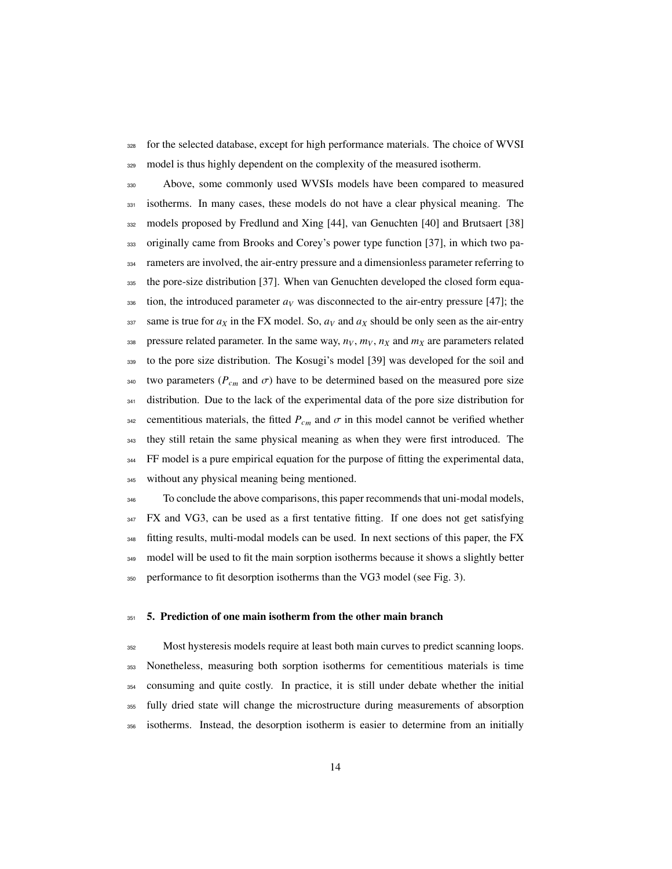for the selected database, except for high performance materials. The choice of WVSI 329 model is thus highly dependent on the complexity of the measured isotherm.

 Above, some commonly used WVSIs models have been compared to measured isotherms. In many cases, these models do not have a clear physical meaning. The models proposed by Fredlund and Xing [44], van Genuchten [40] and Brutsaert [38] originally came from Brooks and Corey's power type function [37], in which two pa-334 rameters are involved, the air-entry pressure and a dimensionless parameter referring to the pore-size distribution [37]. When van Genuchten developed the closed form equa- tion, the introduced parameter  $a_V$  was disconnected to the air-entry pressure [47]; the same is true for  $a_X$  in the FX model. So,  $a_V$  and  $a_X$  should be only seen as the air-entry 338 pressure related parameter. In the same way,  $n_V$ ,  $m_V$ ,  $n_X$  and  $m_X$  are parameters related to the pore size distribution. The Kosugi's model [39] was developed for the soil and <sup>340</sup> two parameters ( $P_{cm}$  and  $\sigma$ ) have to be determined based on the measured pore size 341 distribution. Due to the lack of the experimental data of the pore size distribution for 342 cementitious materials, the fitted  $P_{cm}$  and  $\sigma$  in this model cannot be verified whether they still retain the same physical meaning as when they were first introduced. The <sup>344</sup> FF model is a pure empirical equation for the purpose of fitting the experimental data, 345 without any physical meaning being mentioned.

 To conclude the above comparisons, this paper recommends that uni-modal models, FX and VG3, can be used as a first tentative fitting. If one does not get satisfying fitting results, multi-modal models can be used. In next sections of this paper, the FX 349 model will be used to fit the main sorption isotherms because it shows a slightly better performance to fit desorption isotherms than the VG3 model (see Fig. 3).

#### 351 5. Prediction of one main isotherm from the other main branch

 Most hysteresis models require at least both main curves to predict scanning loops. Nonetheless, measuring both sorption isotherms for cementitious materials is time consuming and quite costly. In practice, it is still under debate whether the initial fully dried state will change the microstructure during measurements of absorption isotherms. Instead, the desorption isotherm is easier to determine from an initially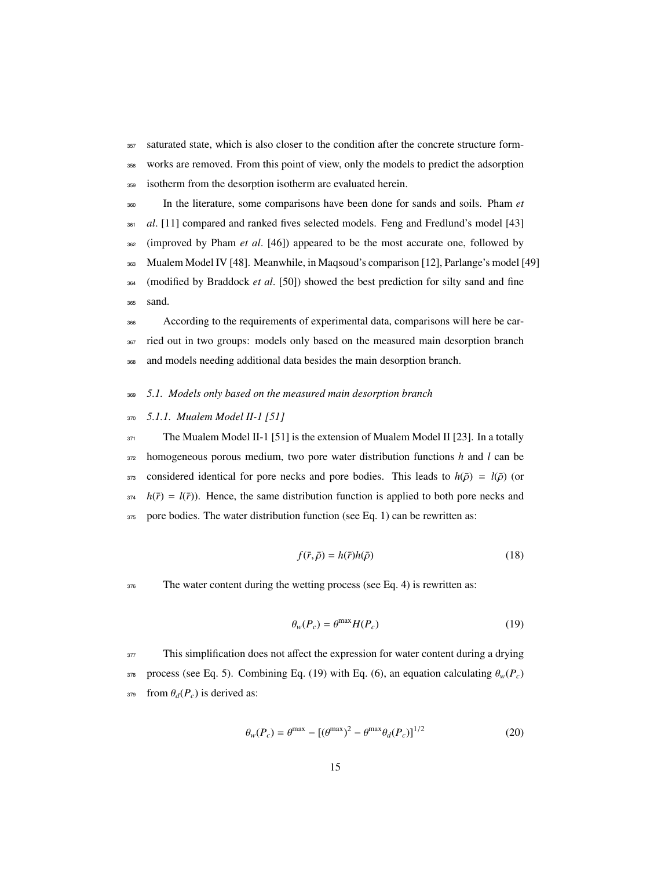<sup>357</sup> saturated state, which is also closer to the condition after the concrete structure form-<sup>358</sup> works are removed. From this point of view, only the models to predict the adsorption

<sup>359</sup> isotherm from the desorption isotherm are evaluated herein.

 In the literature, some comparisons have been done for sands and soils. Pham *et al.* [11] compared and ranked fives selected models. Feng and Fredlund's model [43] (improved by Pham *et al*. [46]) appeared to be the most accurate one, followed by Mualem Model IV [48]. Meanwhile, in Maqsoud's comparison [12], Parlange's model [49] (modified by Braddock *et al*. [50]) showed the best prediction for silty sand and fine <sup>365</sup> sand.

<sup>366</sup> According to the requirements of experimental data, comparisons will here be car-<sup>367</sup> ried out in two groups: models only based on the measured main desorption branch <sup>368</sup> and models needing additional data besides the main desorption branch.

- <sup>369</sup> *5.1. Models only based on the measured main desorption branch*
- <sup>370</sup> *5.1.1. Mualem Model II-1 [51]*

 $371$  The Mualem Model II-1 [51] is the extension of Mualem Model II [23]. In a totally <sup>372</sup> homogeneous porous medium, two pore water distribution functions *h* and *l* can be 373 considered identical for pore necks and pore bodies. This leads to  $h(\bar{\rho}) = l(\bar{\rho})$  (or  $\hat{h}(\bar{r}) = l(\bar{r})$ . Hence, the same distribution function is applied to both pore necks and 375 pore bodies. The water distribution function (see Eq. 1) can be rewritten as:

$$
f(\bar{r}, \bar{\rho}) = h(\bar{r})h(\bar{\rho})\tag{18}
$$

376 The water content during the wetting process (see Eq. 4) is rewritten as:

$$
\theta_w(P_c) = \theta^{\max} H(P_c)
$$
\n(19)

<sup>377</sup> This simplification does not affect the expression for water content during a drying 378 process (see Eq. 5). Combining Eq. (19) with Eq. (6), an equation calculating  $θ<sub>w</sub>(P<sub>c</sub>)$  $379$  from  $\theta_d(P_c)$  is derived as:

$$
\theta_w(P_c) = \theta^{\text{max}} - [(\theta^{\text{max}})^2 - \theta^{\text{max}} \theta_d(P_c)]^{1/2}
$$
\n(20)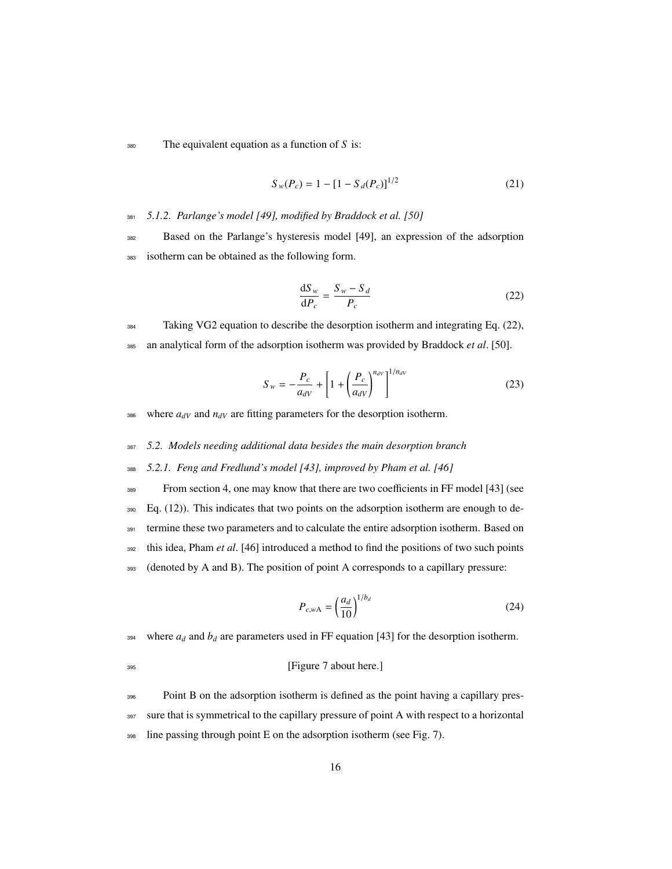<sup>380</sup> The equivalent equation as a function of *S* is:

$$
S_w(P_c) = 1 - [1 - S_d(P_c)]^{1/2}
$$
 (21)

<sup>381</sup> *5.1.2. Parlange's model [49], modified by Braddock et al. [50]*

<sup>382</sup> Based on the Parlange's hysteresis model [49], an expression of the adsorption <sup>383</sup> isotherm can be obtained as the following form.

$$
\frac{\mathrm{d}S_w}{\mathrm{d}P_c} = \frac{S_w - S_d}{P_c} \tag{22}
$$

<sup>384</sup> Taking VG2 equation to describe the desorption isotherm and integrating Eq. (22), <sup>385</sup> an analytical form of the adsorption isotherm was provided by Braddock *et al*. [50].

$$
S_{w} = -\frac{P_{c}}{a_{dV}} + \left[1 + \left(\frac{P_{c}}{a_{dV}}\right)^{n_{dV}}\right]^{1/n_{dV}}
$$
(23)

386 where  $a_{dV}$  and  $n_{dV}$  are fitting parameters for the desorption isotherm.

<sup>387</sup> *5.2. Models needing additional data besides the main desorption branch*

<sup>388</sup> *5.2.1. Feng and Fredlund's model [43], improved by Pham et al. [46]*

 From section 4, one may know that there are two coefficients in FF model [43] (see  $_{390}$  Eq. (12)). This indicates that two points on the adsorption isotherm are enough to de- termine these two parameters and to calculate the entire adsorption isotherm. Based on this idea, Pham *et al*. [46] introduced a method to find the positions of two such points (denoted by A and B). The position of point A corresponds to a capillary pressure:

$$
P_{c,wA} = \left(\frac{a_d}{10}\right)^{1/b_d} \tag{24}
$$

394 where  $a_d$  and  $b_d$  are parameters used in FF equation [43] for the desorption isotherm.

<sup>395</sup> [Figure 7 about here.]

<sup>396</sup> Point B on the adsorption isotherm is defined as the point having a capillary pres-397 sure that is symmetrical to the capillary pressure of point A with respect to a horizontal <sup>398</sup> line passing through point E on the adsorption isotherm (see Fig. 7).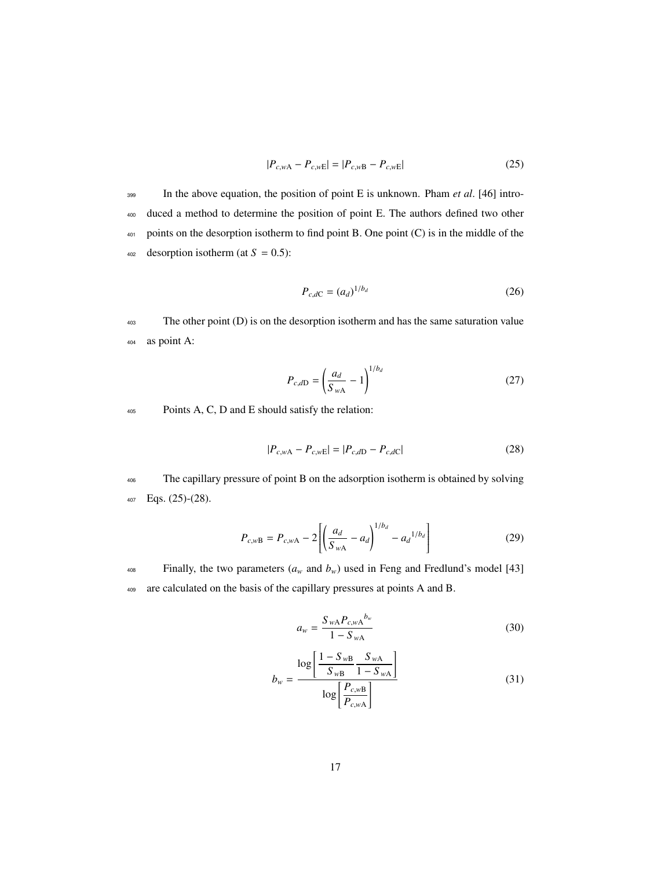$$
|P_{c,wA} - P_{c,wE}| = |P_{c,wB} - P_{c,wE}|
$$
\n(25)

 In the above equation, the position of point E is unknown. Pham *et al*. [46] intro- duced a method to determine the position of point E. The authors defined two other 401 points on the desorption isotherm to find point B. One point (C) is in the middle of the desorption isotherm (at  $S = 0.5$ ):

$$
P_{c,dC} = (a_d)^{1/b_d} \tag{26}
$$

<sup>403</sup> The other point (D) is on the desorption isotherm and has the same saturation value <sup>404</sup> as point A:

$$
P_{c,dD} = \left(\frac{a_d}{S_{wA}} - 1\right)^{1/b_d}
$$
 (27)

<sup>405</sup> Points A, C, D and E should satisfy the relation:

$$
|P_{c,wA} - P_{c,wE}| = |P_{c,dD} - P_{c,dC}| \tag{28}
$$

<sup>406</sup> The capillary pressure of point B on the adsorption isotherm is obtained by solving <sup>407</sup> Eqs. (25)-(28).

$$
P_{c,wB} = P_{c,wA} - 2\left[\left(\frac{a_d}{S_{wA}} - a_d\right)^{1/b_d} - a_d^{1/b_d}\right]
$$
 (29)

<sup>408</sup> Finally, the two parameters  $(a_w$  and  $b_w$ ) used in Feng and Fredlund's model [43] <sup>409</sup> are calculated on the basis of the capillary pressures at points A and B.

$$
a_w = \frac{S_{wA} P_{c,wA}^{b_w}}{1 - S_{wA}}
$$
 (30)

$$
b_{w} = \frac{\log \left[ \frac{1 - S_{wB}}{S_{wB}} \frac{S_{wA}}{1 - S_{wA}} \right]}{\log \left[ \frac{P_{c,wB}}{P_{c,wA}} \right]}
$$
(31)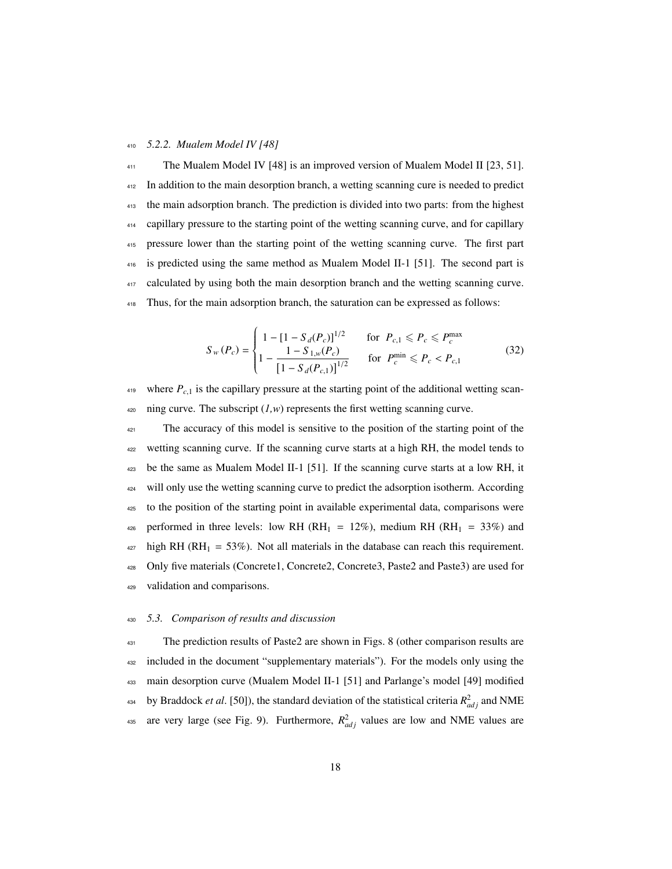#### <sup>410</sup> *5.2.2. Mualem Model IV [48]*

 The Mualem Model IV [48] is an improved version of Mualem Model II [23, 51]. In addition to the main desorption branch, a wetting scanning cure is needed to predict the main adsorption branch. The prediction is divided into two parts: from the highest capillary pressure to the starting point of the wetting scanning curve, and for capillary pressure lower than the starting point of the wetting scanning curve. The first part is predicted using the same method as Mualem Model II-1 [51]. The second part is 417 calculated by using both the main desorption branch and the wetting scanning curve. Thus, for the main adsorption branch, the saturation can be expressed as follows:

$$
S_{w}(P_{c}) = \begin{cases} 1 - [1 - S_{d}(P_{c})]^{1/2} & \text{for } P_{c,1} \le P_{c} \le P_{c}^{\max} \\ 1 - \frac{1 - S_{1,w}(P_{c})}{[1 - S_{d}(P_{c,1})]^{1/2}} & \text{for } P_{c}^{\min} \le P_{c} < P_{c,1} \end{cases} \tag{32}
$$

 $419$  where  $P_{c,1}$  is the capillary pressure at the starting point of the additional wetting scan- $420$  ning curve. The subscript  $(1, w)$  represents the first wetting scanning curve.

<sup>421</sup> The accuracy of this model is sensitive to the position of the starting point of the wetting scanning curve. If the scanning curve starts at a high RH, the model tends to be the same as Mualem Model II-1 [51]. If the scanning curve starts at a low RH, it <sup>424</sup> will only use the wetting scanning curve to predict the adsorption isotherm. According to the position of the starting point in available experimental data, comparisons were 426 performed in three levels: low RH (RH<sub>1</sub> = 12%), medium RH (RH<sub>1</sub> = 33%) and high RH (RH<sub>1</sub> = 53%). Not all materials in the database can reach this requirement. Only five materials (Concrete1, Concrete2, Concrete3, Paste2 and Paste3) are used for validation and comparisons.

#### <sup>430</sup> *5.3. Comparison of results and discussion*

<sup>431</sup> The prediction results of Paste2 are shown in Figs. 8 (other comparison results are <sup>432</sup> included in the document "supplementary materials"). For the models only using the <sup>433</sup> main desorption curve (Mualem Model II-1 [51] and Parlange's model [49] modified by Braddock *et al.* [50]), the standard deviation of the statistical criteria  $R_{adj}^2$  and NME as are very large (see Fig. 9). Furthermore,  $R_{adj}^2$  values are low and NME values are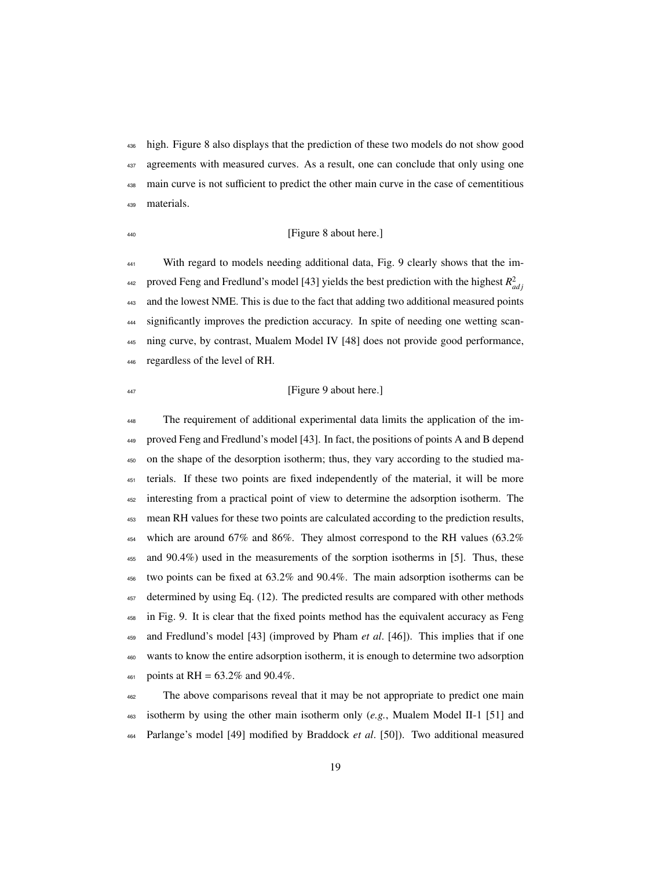high. Figure 8 also displays that the prediction of these two models do not show good agreements with measured curves. As a result, one can conclude that only using one main curve is not sufficient to predict the other main curve in the case of cementitious materials.

### <sup>440</sup> [Figure 8 about here.]

 With regard to models needing additional data, Fig. 9 clearly shows that the im-<sup>442</sup> proved Feng and Fredlund's model [43] yields the best prediction with the highest  $R_{adj}^2$ 443 and the lowest NME. This is due to the fact that adding two additional measured points significantly improves the prediction accuracy. In spite of needing one wetting scan- ning curve, by contrast, Mualem Model IV [48] does not provide good performance, regardless of the level of RH.

## <sup>447</sup> [Figure 9 about here.]

 The requirement of additional experimental data limits the application of the im- proved Feng and Fredlund's model [43]. In fact, the positions of points A and B depend on the shape of the desorption isotherm; thus, they vary according to the studied ma- terials. If these two points are fixed independently of the material, it will be more interesting from a practical point of view to determine the adsorption isotherm. The mean RH values for these two points are calculated according to the prediction results, 454 which are around 67% and 86%. They almost correspond to the RH values  $(63.2\%$  and 90.4%) used in the measurements of the sorption isotherms in [5]. Thus, these two points can be fixed at 63.2% and 90.4%. The main adsorption isotherms can be determined by using Eq. (12). The predicted results are compared with other methods in Fig. 9. It is clear that the fixed points method has the equivalent accuracy as Feng and Fredlund's model [43] (improved by Pham *et al*. [46]). This implies that if one wants to know the entire adsorption isotherm, it is enough to determine two adsorption  $_{461}$  points at RH = 63.2% and 90.4%.

 The above comparisons reveal that it may be not appropriate to predict one main isotherm by using the other main isotherm only (*e.g.*, Mualem Model II-1 [51] and Parlange's model [49] modified by Braddock *et al*. [50]). Two additional measured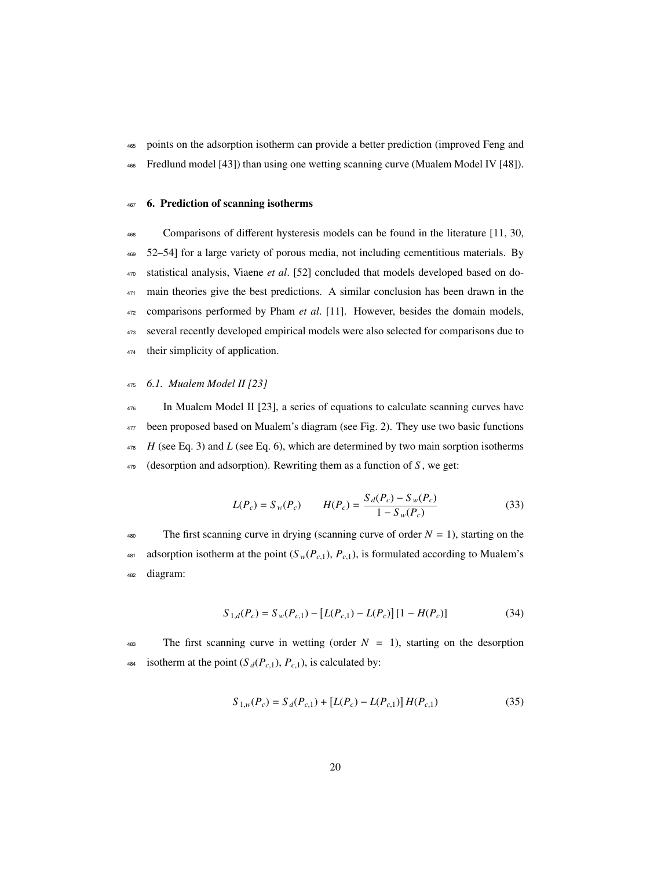465 points on the adsorption isotherm can provide a better prediction (improved Feng and

<sup>466</sup> Fredlund model [43]) than using one wetting scanning curve (Mualem Model IV [48]).

## <sup>467</sup> 6. Prediction of scanning isotherms

 Comparisons of different hysteresis models can be found in the literature [11, 30, 52–54] for a large variety of porous media, not including cementitious materials. By statistical analysis, Viaene *et al*. [52] concluded that models developed based on do-<sup>471</sup> main theories give the best predictions. A similar conclusion has been drawn in the comparisons performed by Pham *et al*. [11]. However, besides the domain models, several recently developed empirical models were also selected for comparisons due to 474 their simplicity of application.

## <sup>475</sup> *6.1. Mualem Model II [23]*

 In Mualem Model II [23], a series of equations to calculate scanning curves have been proposed based on Mualem's diagram (see Fig. 2). They use two basic functions  $H$  (see Eq. 3) and *L* (see Eq. 6), which are determined by two main sorption isotherms (desorption and adsorption). Rewriting them as a function of *S* , we get:

$$
L(P_c) = S_w(P_c) \qquad H(P_c) = \frac{S_d(P_c) - S_w(P_c)}{1 - S_w(P_c)}
$$
(33)

480 The first scanning curve in drying (scanning curve of order  $N = 1$ ), starting on the 481 adsorption isotherm at the point  $(S_w(P_{c,1}), P_{c,1})$ , is formulated according to Mualem's <sup>482</sup> diagram:

$$
S_{1,d}(P_c) = S_w(P_{c,1}) - [L(P_{c,1}) - L(P_c)][1 - H(P_c)] \tag{34}
$$

483 The first scanning curve in wetting (order  $N = 1$ ), starting on the desorption 484 isotherm at the point  $(S_d(P_{c,1}), P_{c,1})$ , is calculated by:

$$
S_{1,w}(P_c) = S_d(P_{c,1}) + [L(P_c) - L(P_{c,1})]H(P_{c,1})
$$
\n(35)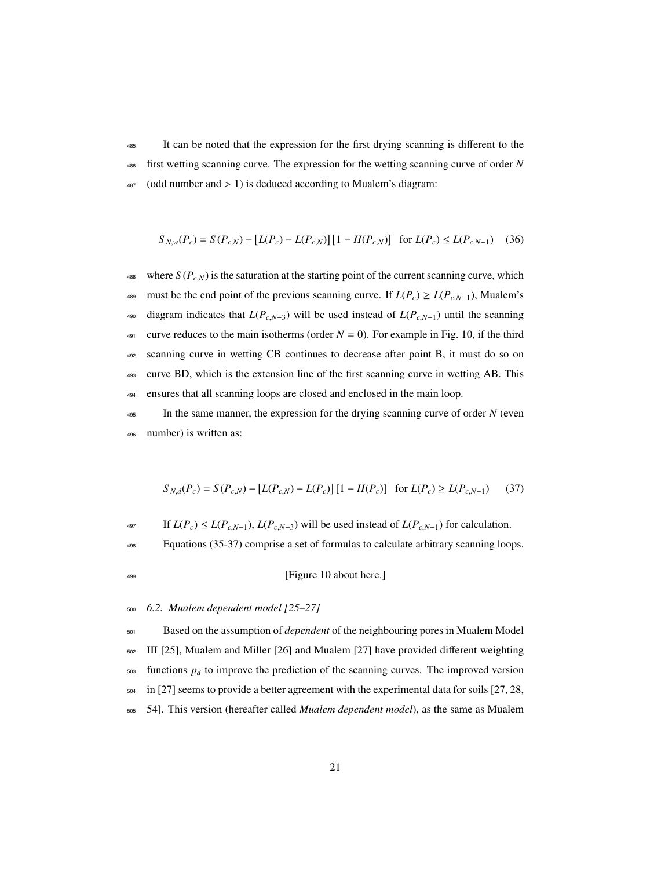<sup>485</sup> It can be noted that the expression for the first drying scanning is different to the <sup>486</sup> first wetting scanning curve. The expression for the wetting scanning curve of order *N*  $487$  (odd number and  $> 1$ ) is deduced according to Mualem's diagram:

$$
S_{N,w}(P_c) = S(P_{c,N}) + [L(P_c) - L(P_{c,N})][1 - H(P_{c,N})] \text{ for } L(P_c) \le L(P_{c,N-1}) \quad (36)
$$

488 where  $S(P_{c,N})$  is the saturation at the starting point of the current scanning curve, which 489 must be the end point of the previous scanning curve. If  $L(P_c) \ge L(P_{c,N-1})$ , Mualem's 490 diagram indicates that  $L(P_{c,N-3})$  will be used instead of  $L(P_{c,N-1})$  until the scanning 491 curve reduces to the main isotherms (order  $N = 0$ ). For example in Fig. 10, if the third <sup>492</sup> scanning curve in wetting CB continues to decrease after point B, it must do so on <sup>493</sup> curve BD, which is the extension line of the first scanning curve in wetting AB. This <sup>494</sup> ensures that all scanning loops are closed and enclosed in the main loop.

<sup>495</sup> In the same manner, the expression for the drying scanning curve of order *N* (even <sup>496</sup> number) is written as:

$$
S_{N,d}(P_c) = S(P_{c,N}) - [L(P_{c,N}) - L(P_c)] [1 - H(P_c)] \text{ for } L(P_c) \ge L(P_{c,N-1}) \tag{37}
$$

497 If  $L(P_c)$  ≤  $L(P_{c,N-1})$ ,  $L(P_{c,N-3})$  will be used instead of  $L(P_{c,N-1})$  for calculation.

<sup>498</sup> Equations (35-37) comprise a set of formulas to calculate arbitrary scanning loops.

<sup>499</sup> [Figure 10 about here.]

<sup>500</sup> *6.2. Mualem dependent model [25–27]*

 Based on the assumption of *dependent* of the neighbouring pores in Mualem Model III [25], Mualem and Miller [26] and Mualem [27] have provided different weighting functions  $p_d$  to improve the prediction of the scanning curves. The improved version in [27] seems to provide a better agreement with the experimental data for soils [27, 28, 54]. This version (hereafter called *Mualem dependent model*), as the same as Mualem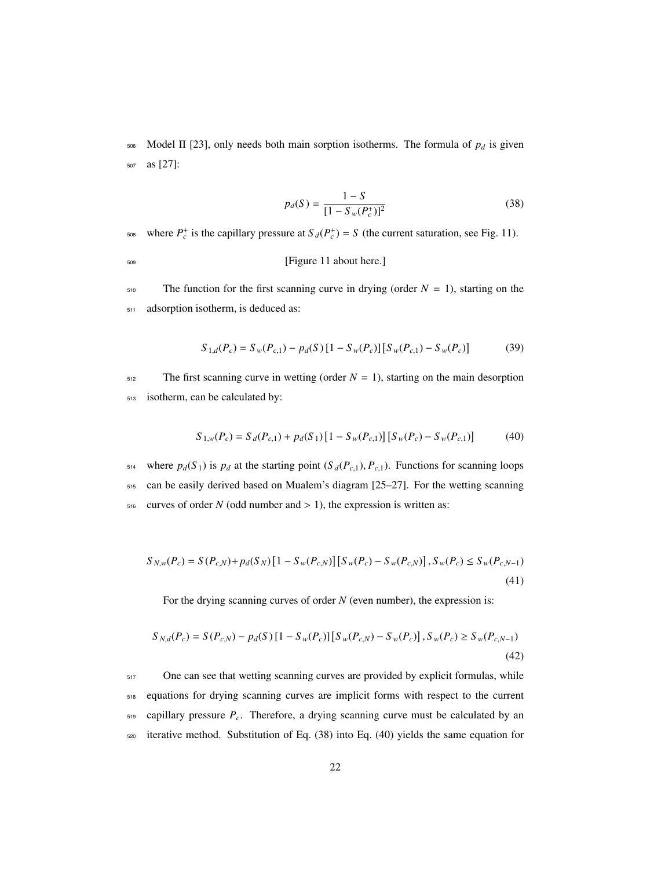506 Model II [23], only needs both main sorption isotherms. The formula of  $p_d$  is given <sup>507</sup> as [27]:

$$
p_d(S) = \frac{1 - S}{[1 - S_w(P_c^+)]^2}
$$
 (38)

<sup>508</sup> where  $P_c^+$  is the capillary pressure at  $S_d(P_c^+) = S$  (the current saturation, see Fig. 11).

<sup>509</sup> [Figure 11 about here.]

 $510$  The function for the first scanning curve in drying (order  $N = 1$ ), starting on the <sup>511</sup> adsorption isotherm, is deduced as:

$$
S_{1,d}(P_c) = S_w(P_{c,1}) - p_d(S) [1 - S_w(P_c)] [S_w(P_{c,1}) - S_w(P_c)] \tag{39}
$$

 $512$  The first scanning curve in wetting (order  $N = 1$ ), starting on the main desorption <sup>513</sup> isotherm, can be calculated by:

$$
S_{1,w}(P_c) = S_d(P_{c,1}) + p_d(S_1) [1 - S_w(P_{c,1})] [S_w(P_c) - S_w(P_{c,1})]
$$
(40)

514 where  $p_d(S_1)$  is  $p_d$  at the starting point  $(S_d(P_{c,1}), P_{c,1})$ . Functions for scanning loops <sup>515</sup> can be easily derived based on Mualem's diagram [25–27]. For the wetting scanning  $516$  curves of order *N* (odd number and  $> 1$ ), the expression is written as:

$$
S_{N,w}(P_c) = S(P_{c,N}) + p_d(S_N) \left[1 - S_w(P_{c,N})\right] \left[S_w(P_c) - S_w(P_{c,N})\right], S_w(P_c) \le S_w(P_{c,N-1})\tag{41}
$$

For the drying scanning curves of order *N* (even number), the expression is:

$$
S_{N,d}(P_c) = S(P_{c,N}) - p_d(S) [1 - S_w(P_c)] [S_w(P_{c,N}) - S_w(P_c)] , S_w(P_c) \ge S_w(P_{c,N-1})
$$
\n(42)

<sub>517</sub> One can see that wetting scanning curves are provided by explicit formulas, while equations for drying scanning curves are implicit forms with respect to the current capillary pressure *Pc*. Therefore, a drying scanning curve must be calculated by an iterative method. Substitution of Eq. (38) into Eq. (40) yields the same equation for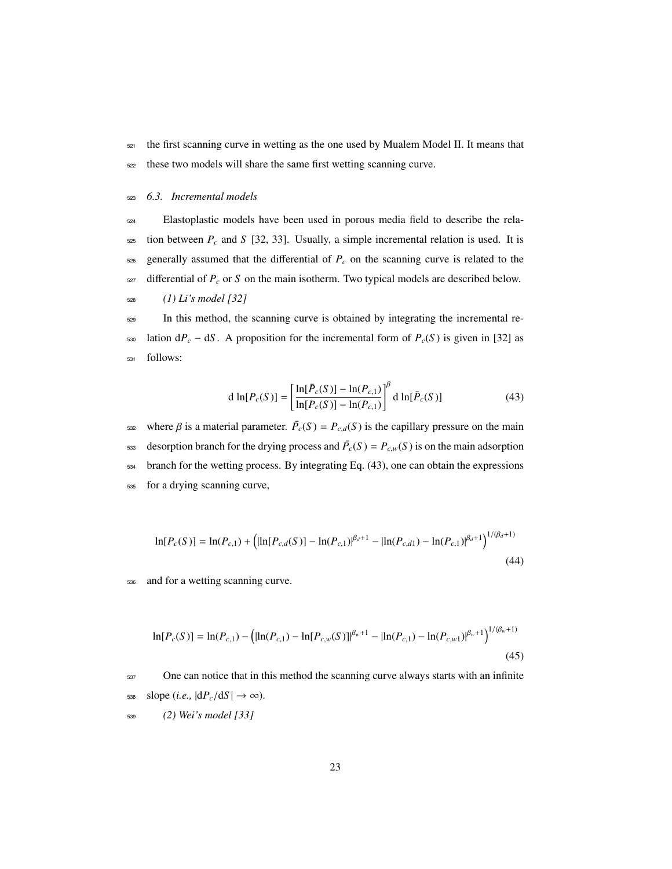<sup>521</sup> the first scanning curve in wetting as the one used by Mualem Model II. It means that <sup>522</sup> these two models will share the same first wetting scanning curve.

<sup>523</sup> *6.3. Incremental models*

 Elastoplastic models have been used in porous media field to describe the rela- tion between  $P_c$  and *S* [32, 33]. Usually, a simple incremental relation is used. It is generally assumed that the differential of  $P_c$  on the scanning curve is related to the differential of  $P_c$  or  $S$  on the main isotherm. Two typical models are described below. *(1) Li's model [32]*

<sup>529</sup> In this method, the scanning curve is obtained by integrating the incremental re-530 lation  $dP_c - dS$ . A proposition for the incremental form of  $P_c(S)$  is given in [32] as <sup>531</sup> follows:

$$
d \ln[P_c(S)] = \left[ \frac{\ln[\bar{P}_c(S)] - \ln(P_{c,1})}{\ln[P_c(S)] - \ln(P_{c,1})} \right]^{\beta} d \ln[\bar{P}_c(S)] \tag{43}
$$

where  $\beta$  is a material parameter.  $\bar{P}_c(S) = P_{c,d}(S)$  is the capillary pressure on the main desorption branch for the drying process and  $\bar{P}_c(S) = P_{c,w}(S)$  is on the main adsorption <sup>534</sup> branch for the wetting process. By integrating Eq. (43), one can obtain the expressions <sup>535</sup> for a drying scanning curve,

$$
\ln[P_c(S)] = \ln(P_{c,1}) + \left( \ln[P_{c,d}(S)] - \ln(P_{c,1})^{\beta_d+1} - \ln(P_{c,d1}) - \ln(P_{c,1})^{\beta_d+1} \right)^{1/(\beta_d+1)}
$$
(44)

<sup>536</sup> and for a wetting scanning curve.

$$
\ln[P_c(S)] = \ln(P_{c,1}) - \left( \ln(P_{c,1}) - \ln[P_{c,w}(S)] \right)^{\beta_w + 1} - \left| \ln(P_{c,1}) - \ln(P_{c,w1}) \right|^{\beta_w + 1} \right)^{1/(\beta_w + 1)}
$$
\n(45)

<sub>537</sub> One can notice that in this method the scanning curve always starts with an infinite  $_{538}$  slope (*i.e.*,  $|dP_c/dS| \rightarrow \infty$ ).

<sup>539</sup> *(2) Wei's model [33]*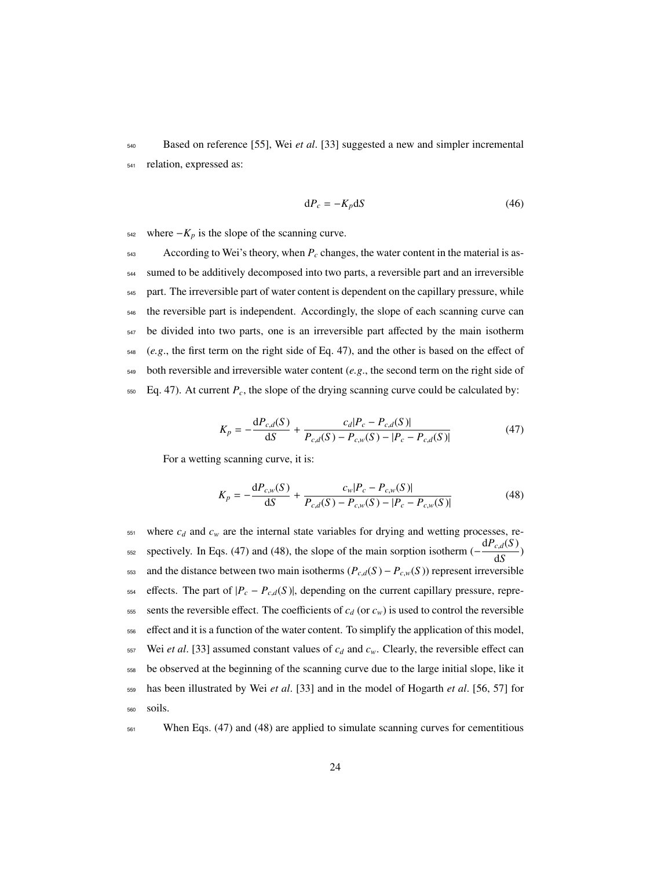<sup>540</sup> Based on reference [55], Wei *et al*. [33] suggested a new and simpler incremental <sup>541</sup> relation, expressed as:

$$
dP_c = -K_p dS \tag{46}
$$

542 where  $−K_p$  is the slope of the scanning curve.

 According to Wei's theory, when  $P_c$  changes, the water content in the material is as- sumed to be additively decomposed into two parts, a reversible part and an irreversible part. The irreversible part of water content is dependent on the capillary pressure, while <sub>546</sub> the reversible part is independent. Accordingly, the slope of each scanning curve can be divided into two parts, one is an irreversible part affected by the main isotherm (*e.g*., the first term on the right side of Eq. 47), and the other is based on the effect of both reversible and irreversible water content (*e.g*., the second term on the right side of  $_{550}$  Eq. 47). At current  $P_c$ , the slope of the drying scanning curve could be calculated by:

$$
K_p = -\frac{dP_{c,d}(S)}{dS} + \frac{c_d|P_c - P_{c,d}(S)|}{P_{c,d}(S) - P_{c,w}(S) - |P_c - P_{c,d}(S)|}
$$
(47)

For a wetting scanning curve, it is:

$$
K_{p} = -\frac{\mathrm{d}P_{c,w}(S)}{\mathrm{d}S} + \frac{c_{w}|P_{c} - P_{c,w}(S)|}{P_{c,d}(S) - P_{c,w}(S) - |P_{c} - P_{c,w}(S)|}
$$
(48)

 $551$  where  $c_d$  and  $c_w$  are the internal state variables for drying and wetting processes, resse spectively. In Eqs. (47) and (48), the slope of the main sorption isotherm  $\left(-\frac{dP_{c,d}(S)}{dS}\right)$ 553 and the distance between two main isotherms  $(P_{c,d}(S) - P_{c,w}(S))$  represent irreversible 554 effects. The part of  $|P_c - P_{c,d}(S)|$ , depending on the current capillary pressure, repre-555 sents the reversible effect. The coefficients of  $c_d$  (or  $c_w$ ) is used to control the reversible <sup>556</sup> effect and it is a function of the water content. To simplify the application of this model, 557 Wei *et al.* [33] assumed constant values of  $c_d$  and  $c_w$ . Clearly, the reversible effect can <sup>558</sup> be observed at the beginning of the scanning curve due to the large initial slope, like it <sup>559</sup> has been illustrated by Wei *et al*. [33] and in the model of Hogarth *et al*. [56, 57] for <sup>560</sup> soils.

561 When Eqs. (47) and (48) are applied to simulate scanning curves for cementitious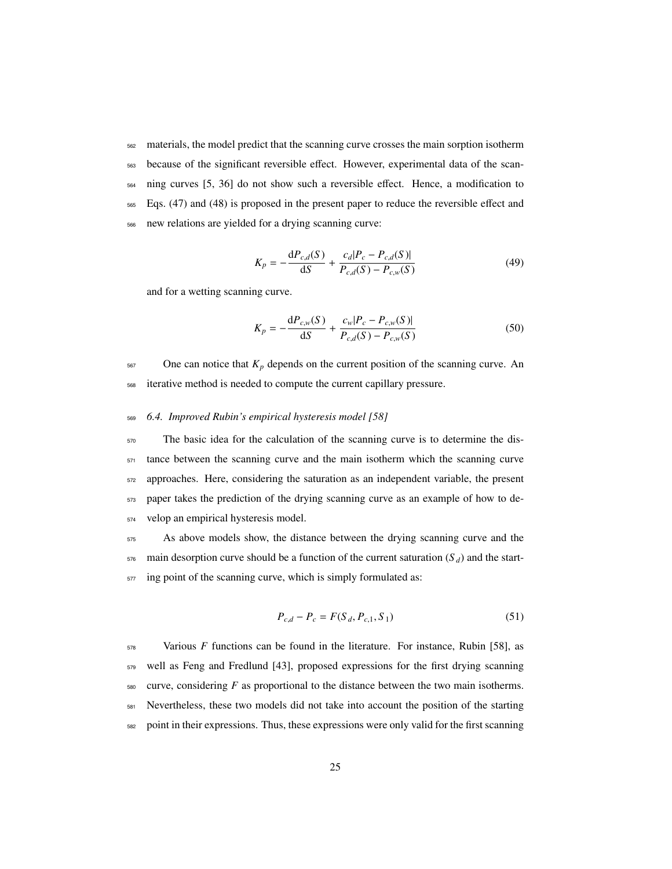materials, the model predict that the scanning curve crosses the main sorption isotherm because of the significant reversible effect. However, experimental data of the scan- ning curves [5, 36] do not show such a reversible effect. Hence, a modification to Eqs. (47) and (48) is proposed in the present paper to reduce the reversible effect and new relations are yielded for a drying scanning curve:

$$
K_p = -\frac{dP_{c,d}(S)}{dS} + \frac{c_d|P_c - P_{c,d}(S)|}{P_{c,d}(S) - P_{c,w}(S)}
$$
(49)

and for a wetting scanning curve.

$$
K_p = -\frac{dP_{c,w}(S)}{dS} + \frac{c_w|P_c - P_{c,w}(S)|}{P_{c,d}(S) - P_{c,w}(S)}
$$
(50)

 $567$  One can notice that  $K_p$  depends on the current position of the scanning curve. An <sup>568</sup> iterative method is needed to compute the current capillary pressure.

### <sup>569</sup> *6.4. Improved Rubin's empirical hysteresis model [58]*

 The basic idea for the calculation of the scanning curve is to determine the dis- tance between the scanning curve and the main isotherm which the scanning curve approaches. Here, considering the saturation as an independent variable, the present paper takes the prediction of the drying scanning curve as an example of how to de-velop an empirical hysteresis model.

 $575$  As above models show, the distance between the drying scanning curve and the  $576$  main desorption curve should be a function of the current saturation ( $S_d$ ) and the start- $577$  ing point of the scanning curve, which is simply formulated as:

$$
P_{c,d} - P_c = F(S_d, P_{c,1}, S_1)
$$
\n(51)

578 Various *F* functions can be found in the literature. For instance, Rubin [58], as well as Feng and Fredlund [43], proposed expressions for the first drying scanning curve, considering  $F$  as proportional to the distance between the two main isotherms. Nevertheless, these two models did not take into account the position of the starting point in their expressions. Thus, these expressions were only valid for the first scanning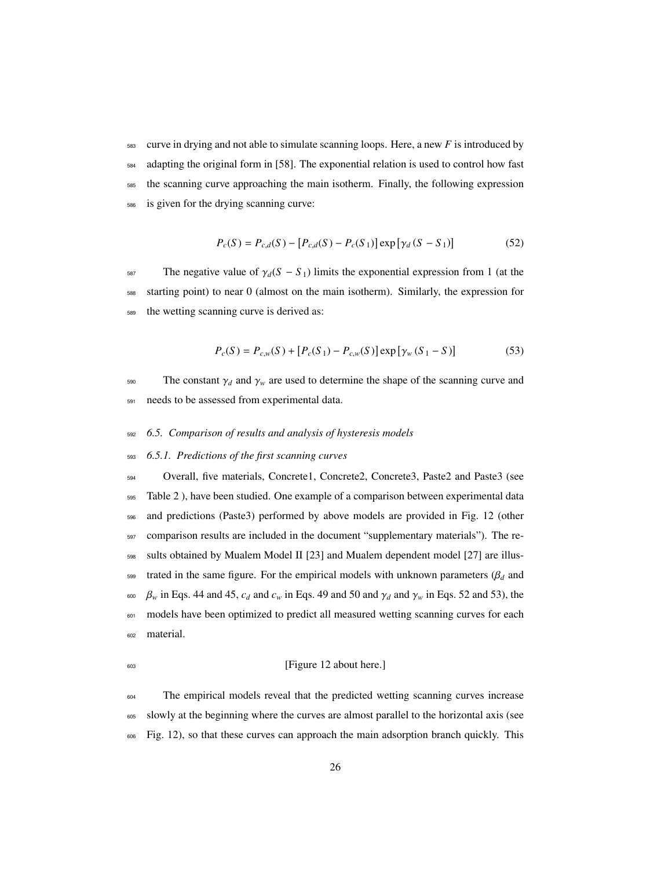curve in drying and not able to simulate scanning loops. Here, a new *F* is introduced by adapting the original form in [58]. The exponential relation is used to control how fast <sub>585</sub> the scanning curve approaching the main isotherm. Finally, the following expression is given for the drying scanning curve:

$$
P_c(S) = P_{c,d}(S) - [P_{c,d}(S) - P_c(S_1)] \exp [\gamma_d (S - S_1)] \tag{52}
$$

587 The negative value of  $\gamma_d(S - S_1)$  limits the exponential expression from 1 (at the <sup>588</sup> starting point) to near 0 (almost on the main isotherm). Similarly, the expression for <sup>589</sup> the wetting scanning curve is derived as:

$$
P_c(S) = P_{c,w}(S) + [P_c(S_1) - P_{c,w}(S)] \exp[\gamma_w(S_1 - S)] \tag{53}
$$

 $590$  The constant  $γ_d$  and  $γ_w$  are used to determine the shape of the scanning curve and <sup>591</sup> needs to be assessed from experimental data.

## <sup>592</sup> *6.5. Comparison of results and analysis of hysteresis models*

## <sup>593</sup> *6.5.1. Predictions of the first scanning curves*

 Overall, five materials, Concrete1, Concrete2, Concrete3, Paste2 and Paste3 (see Table 2 ), have been studied. One example of a comparison between experimental data and predictions (Paste3) performed by above models are provided in Fig. 12 (other comparison results are included in the document "supplementary materials"). The re- sults obtained by Mualem Model II [23] and Mualem dependent model [27] are illus- trated in the same figure. For the empirical models with unknown parameters (β*<sup>d</sup>* and *β<sub>w</sub>* in Eqs. 44 and 45, *c<sub>d</sub>* and *c<sub>w</sub>* in Eqs. 49 and 50 and  $γ_d$  and  $γ_w$  in Eqs. 52 and 53), the models have been optimized to predict all measured wetting scanning curves for each material.

## <sup>603</sup> [Figure 12 about here.]

<sub>604</sub> The empirical models reveal that the predicted wetting scanning curves increase <sup>605</sup> slowly at the beginning where the curves are almost parallel to the horizontal axis (see <sup>606</sup> Fig. 12), so that these curves can approach the main adsorption branch quickly. This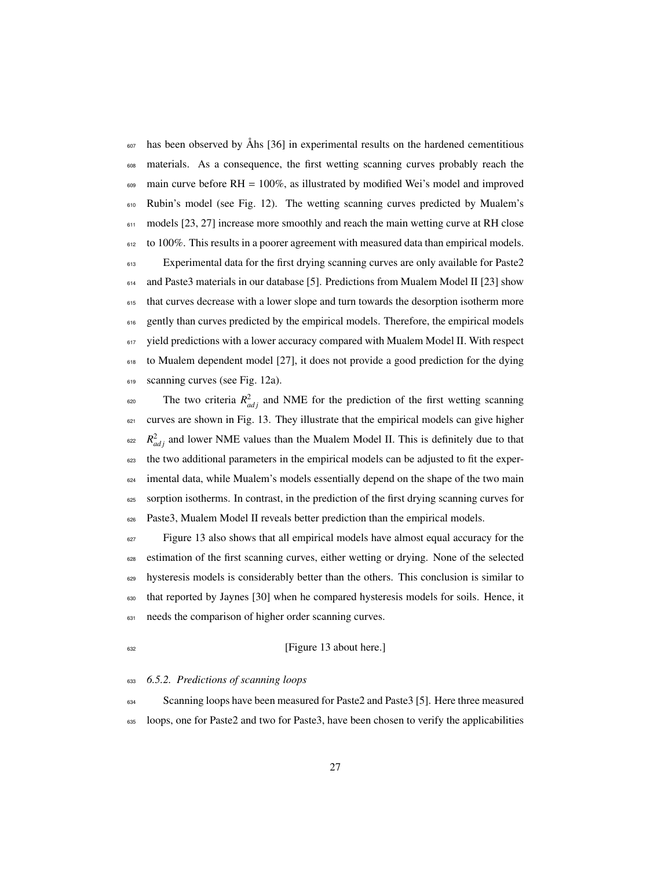has been observed by Ahs [36] in experimental results on the hardened cementitious materials. As a consequence, the first wetting scanning curves probably reach the  $\frac{609}{100}$  main curve before RH = 100%, as illustrated by modified Wei's model and improved Rubin's model (see Fig. 12). The wetting scanning curves predicted by Mualem's 611 models [23, 27] increase more smoothly and reach the main wetting curve at RH close to 100%. This results in a poorer agreement with measured data than empirical models. Experimental data for the first drying scanning curves are only available for Paste2 and Paste3 materials in our database [5]. Predictions from Mualem Model II [23] show 615 that curves decrease with a lower slope and turn towards the desorption isotherm more 616 gently than curves predicted by the empirical models. Therefore, the empirical models 617 yield predictions with a lower accuracy compared with Mualem Model II. With respect 618 to Mualem dependent model [27], it does not provide a good prediction for the dying 619 scanning curves (see Fig. 12a).

 $\epsilon_{\text{20}}$  The two criteria  $R_{adj}^2$  and NME for the prediction of the first wetting scanning curves are shown in Fig. 13. They illustrate that the empirical models can give higher  $R_{adj}^2$  and lower NME values than the Mualem Model II. This is definitely due to that the two additional parameters in the empirical models can be adjusted to fit the exper- imental data, while Mualem's models essentially depend on the shape of the two main sorption isotherms. In contrast, in the prediction of the first drying scanning curves for Paste3, Mualem Model II reveals better prediction than the empirical models.

<sup>627</sup> Figure 13 also shows that all empirical models have almost equal accuracy for the estimation of the first scanning curves, either wetting or drying. None of the selected hysteresis models is considerably better than the others. This conclusion is similar to that reported by Jaynes [30] when he compared hysteresis models for soils. Hence, it needs the comparison of higher order scanning curves.

### [Figure 13 about here.]

## *6.5.2. Predictions of scanning loops*

Scanning loops have been measured for Paste2 and Paste3 [5]. Here three measured loops, one for Paste2 and two for Paste3, have been chosen to verify the applicabilities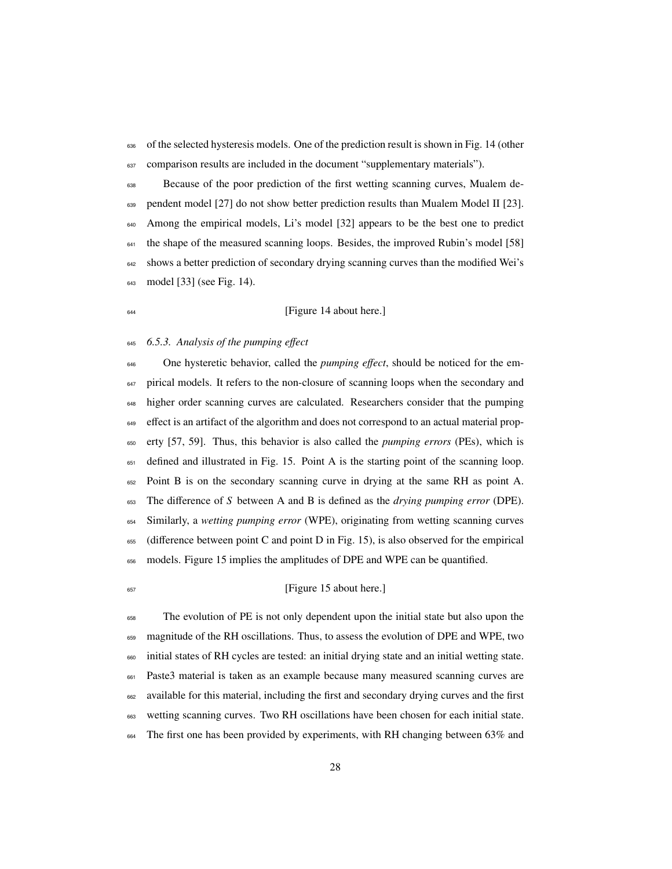636 of the selected hysteresis models. One of the prediction result is shown in Fig. 14 (other comparison results are included in the document "supplementary materials").

 Because of the poor prediction of the first wetting scanning curves, Mualem de-639 pendent model [27] do not show better prediction results than Mualem Model II [23]. Among the empirical models, Li's model [32] appears to be the best one to predict the shape of the measured scanning loops. Besides, the improved Rubin's model [58] 642 shows a better prediction of secondary drying scanning curves than the modified Wei's model [33] (see Fig. 14).

## <sup>644</sup> [Figure 14 about here.]

#### *6.5.3. Analysis of the pumping e*ff*ect*

 One hysteretic behavior, called the *pumping e*ff*ect*, should be noticed for the em-<sup>647</sup> pirical models. It refers to the non-closure of scanning loops when the secondary and higher order scanning curves are calculated. Researchers consider that the pumping <sup>649</sup> effect is an artifact of the algorithm and does not correspond to an actual material prop- erty [57, 59]. Thus, this behavior is also called the *pumping errors* (PEs), which is defined and illustrated in Fig. 15. Point A is the starting point of the scanning loop. Point B is on the secondary scanning curve in drying at the same RH as point A. The difference of *S* between A and B is defined as the *drying pumping error* (DPE). Similarly, a *wetting pumping error* (WPE), originating from wetting scanning curves (difference between point C and point D in Fig. 15), is also observed for the empirical models. Figure 15 implies the amplitudes of DPE and WPE can be quantified.

#### <sup>657</sup> [Figure 15 about here.]

 The evolution of PE is not only dependent upon the initial state but also upon the magnitude of the RH oscillations. Thus, to assess the evolution of DPE and WPE, two initial states of RH cycles are tested: an initial drying state and an initial wetting state. Paste3 material is taken as an example because many measured scanning curves are available for this material, including the first and secondary drying curves and the first wetting scanning curves. Two RH oscillations have been chosen for each initial state. The first one has been provided by experiments, with RH changing between 63% and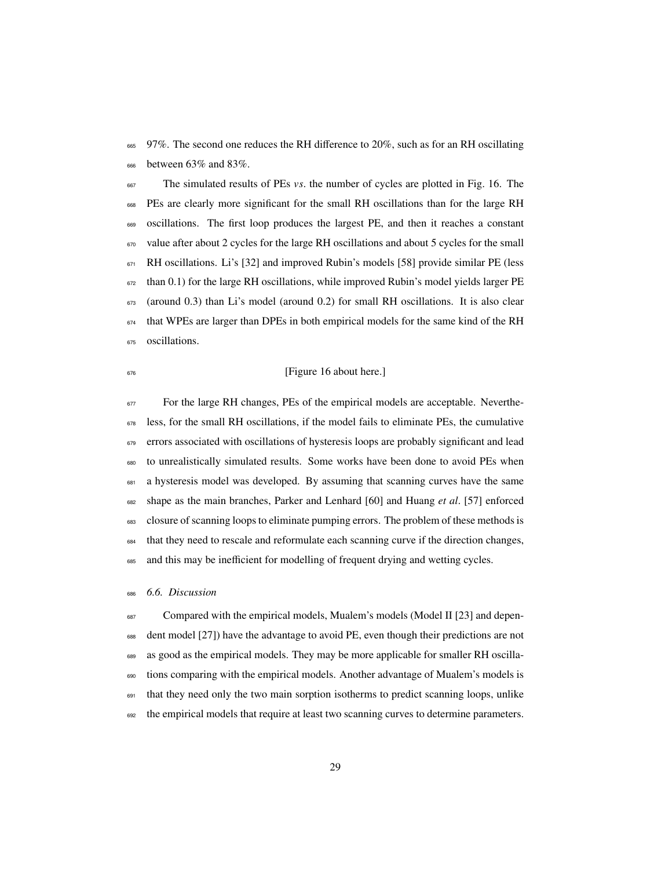<sup>665</sup> 97%. The second one reduces the RH difference to 20%, such as for an RH oscillating between 63% and 83%.

The simulated results of PEs *vs*. the number of cycles are plotted in Fig. 16. The PEs are clearly more significant for the small RH oscillations than for the large RH oscillations. The first loop produces the largest PE, and then it reaches a constant value after about 2 cycles for the large RH oscillations and about 5 cycles for the small RH oscillations. Li's [32] and improved Rubin's models [58] provide similar PE (less than 0.1) for the large RH oscillations, while improved Rubin's model yields larger PE (around 0.3) than Li's model (around 0.2) for small RH oscillations. It is also clear that WPEs are larger than DPEs in both empirical models for the same kind of the RH oscillations.

## <sup>676</sup> [Figure 16 about here.]

 For the large RH changes, PEs of the empirical models are acceptable. Neverthe-678 less, for the small RH oscillations, if the model fails to eliminate PEs, the cumulative errors associated with oscillations of hysteresis loops are probably significant and lead to unrealistically simulated results. Some works have been done to avoid PEs when <sup>681</sup> a hysteresis model was developed. By assuming that scanning curves have the same shape as the main branches, Parker and Lenhard [60] and Huang *et al*. [57] enforced closure of scanning loops to eliminate pumping errors. The problem of these methods is that they need to rescale and reformulate each scanning curve if the direction changes, and this may be inefficient for modelling of frequent drying and wetting cycles.

## *6.6. Discussion*

687 Compared with the empirical models, Mualem's models (Model II [23] and depen- dent model [27]) have the advantage to avoid PE, even though their predictions are not as good as the empirical models. They may be more applicable for smaller RH oscilla-690 tions comparing with the empirical models. Another advantage of Mualem's models is <sup>691</sup> that they need only the two main sorption isotherms to predict scanning loops, unlike 692 the empirical models that require at least two scanning curves to determine parameters.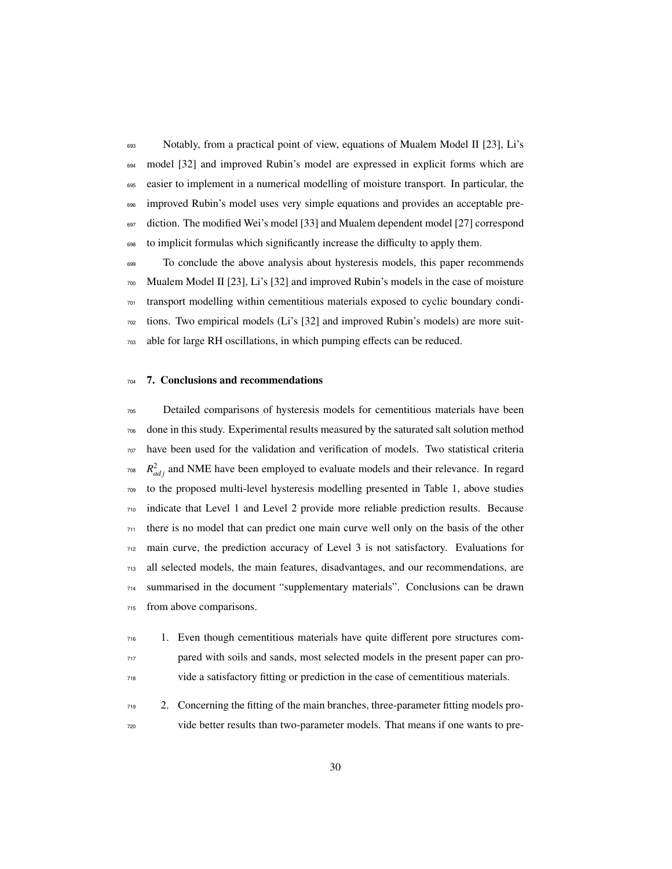Notably, from a practical point of view, equations of Mualem Model II [23], Li's model [32] and improved Rubin's model are expressed in explicit forms which are easier to implement in a numerical modelling of moisture transport. In particular, the <sub>696</sub> improved Rubin's model uses very simple equations and provides an acceptable pre-<sup>697</sup> diction. The modified Wei's model [33] and Mualem dependent model [27] correspond to implicit formulas which significantly increase the difficulty to apply them.

699 To conclude the above analysis about hysteresis models, this paper recommends Mualem Model II [23], Li's [32] and improved Rubin's models in the case of moisture transport modelling within cementitious materials exposed to cyclic boundary condi- tions. Two empirical models (Li's [32] and improved Rubin's models) are more suit-able for large RH oscillations, in which pumping effects can be reduced.

## 7. Conclusions and recommendations

 Detailed comparisons of hysteresis models for cementitious materials have been done in this study. Experimental results measured by the saturated salt solution method have been used for the validation and verification of models. Two statistical criteria <sup>708</sup>  $R_{adj}^2$  and NME have been employed to evaluate models and their relevance. In regard to the proposed multi-level hysteresis modelling presented in Table 1, above studies indicate that Level 1 and Level 2 provide more reliable prediction results. Because there is no model that can predict one main curve well only on the basis of the other main curve, the prediction accuracy of Level 3 is not satisfactory. Evaluations for all selected models, the main features, disadvantages, and our recommendations, are summarised in the document "supplementary materials". Conclusions can be drawn from above comparisons.

- 1. Even though cementitious materials have quite different pore structures com- pared with soils and sands, most selected models in the present paper can pro-vide a satisfactory fitting or prediction in the case of cementitious materials.
- 2. Concerning the fitting of the main branches, three-parameter fitting models pro-vide better results than two-parameter models. That means if one wants to pre-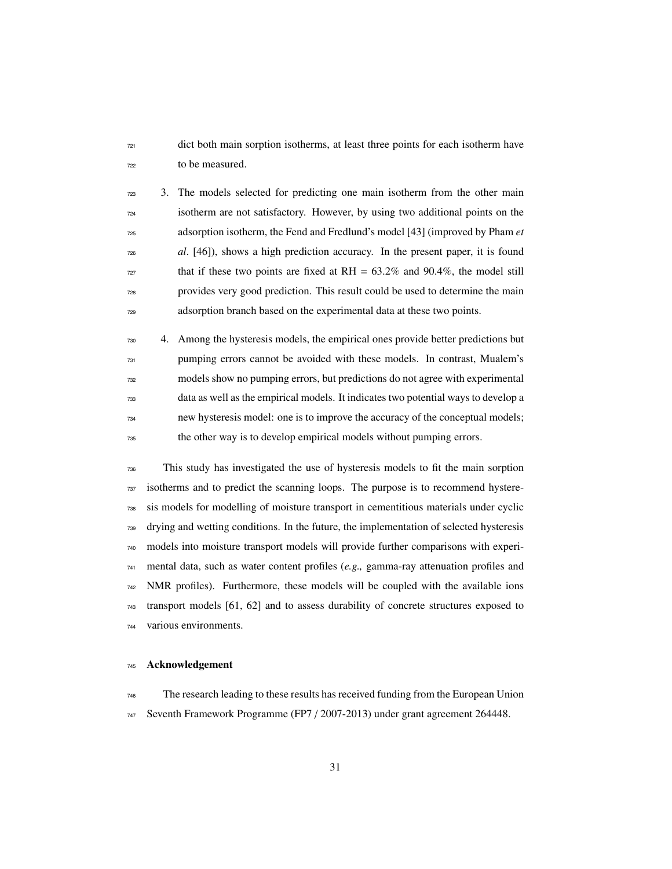dict both main sorption isotherms, at least three points for each isotherm have to be measured.

 3. The models selected for predicting one main isotherm from the other main isotherm are not satisfactory. However, by using two additional points on the adsorption isotherm, the Fend and Fredlund's model [43] (improved by Pham *et al*. [46]), shows a high prediction accuracy. In the present paper, it is found that if these two points are fixed at RH =  $63.2\%$  and 90.4%, the model still provides very good prediction. This result could be used to determine the main adsorption branch based on the experimental data at these two points.

 4. Among the hysteresis models, the empirical ones provide better predictions but pumping errors cannot be avoided with these models. In contrast, Mualem's models show no pumping errors, but predictions do not agree with experimental data as well as the empirical models. It indicates two potential ways to develop a new hysteresis model: one is to improve the accuracy of the conceptual models; the other way is to develop empirical models without pumping errors.

 This study has investigated the use of hysteresis models to fit the main sorption isotherms and to predict the scanning loops. The purpose is to recommend hystere- sis models for modelling of moisture transport in cementitious materials under cyclic drying and wetting conditions. In the future, the implementation of selected hysteresis models into moisture transport models will provide further comparisons with experi- mental data, such as water content profiles (*e.g.,* gamma-ray attenuation profiles and NMR profiles). Furthermore, these models will be coupled with the available ions transport models [61, 62] and to assess durability of concrete structures exposed to various environments.

## Acknowledgement

The research leading to these results has received funding from the European Union

Seventh Framework Programme (FP7 / 2007-2013) under grant agreement 264448.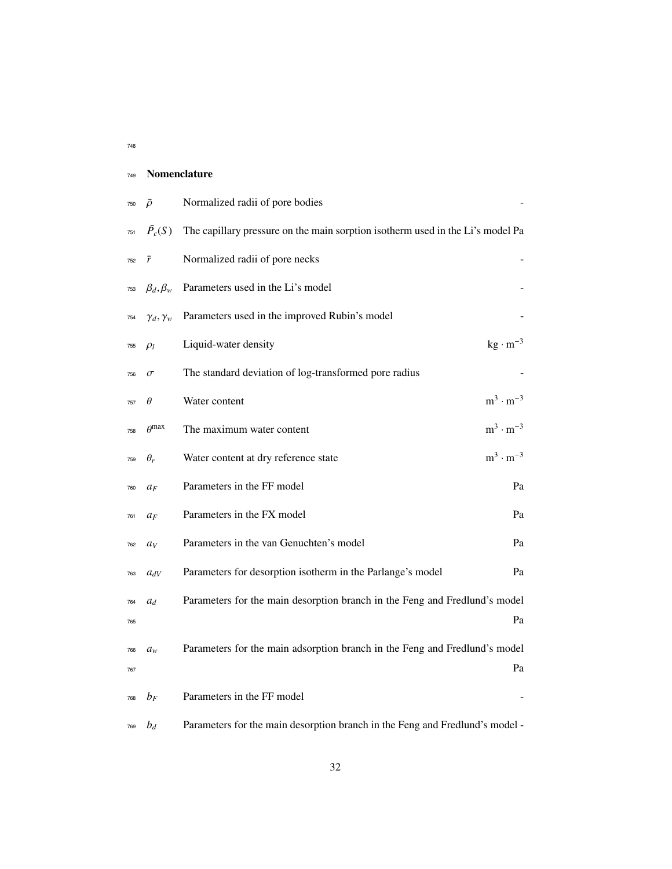| 748<br>$\sim$ |
|---------------|
|---------------|

## Nomenclature

| 750 | ō                    | Normalized radii of pore bodies                                                |
|-----|----------------------|--------------------------------------------------------------------------------|
| 751 | $\bar{P}_c(S)$       | The capillary pressure on the main sorption isotherm used in the Li's model Pa |
| 752 | $\bar{r}$            | Normalized radii of pore necks                                                 |
| 753 | $\beta_d, \beta_w$   | Parameters used in the Li's model                                              |
| 754 | $\gamma_d, \gamma_w$ | Parameters used in the improved Rubin's model                                  |
| 755 | $\rho_l$             | $kg \cdot m^{-3}$<br>Liquid-water density                                      |
| 756 | $\sigma$             | The standard deviation of log-transformed pore radius                          |
| 757 | $\theta$             | $m^3 \cdot m^{-3}$<br>Water content                                            |
| 758 | $\rho$ max           | $m^3 \cdot m^{-3}$<br>The maximum water content                                |
| 759 | $\theta_r$           | $m^3 \cdot m^{-3}$<br>Water content at dry reference state                     |
| 760 | $a_F$                | Parameters in the FF model<br>Pa                                               |
| 761 | $a_F$                | Parameters in the FX model<br>Pa                                               |
| 762 | $a_V$                | Parameters in the van Genuchten's model<br>Pa                                  |
| 763 | $a_{dV}$             | Parameters for desorption isotherm in the Parlange's model<br>Pa               |
| 764 | $a_d$                | Parameters for the main desorption branch in the Feng and Fredlund's model     |
| 765 |                      | Pa                                                                             |
| 766 | $a_w$                | Parameters for the main adsorption branch in the Feng and Fredlund's model     |
| 767 |                      | Pa                                                                             |
| 768 | $b_F$                | Parameters in the FF model                                                     |
| 769 | $b_d$                | Parameters for the main desorption branch in the Feng and Fredlund's model -   |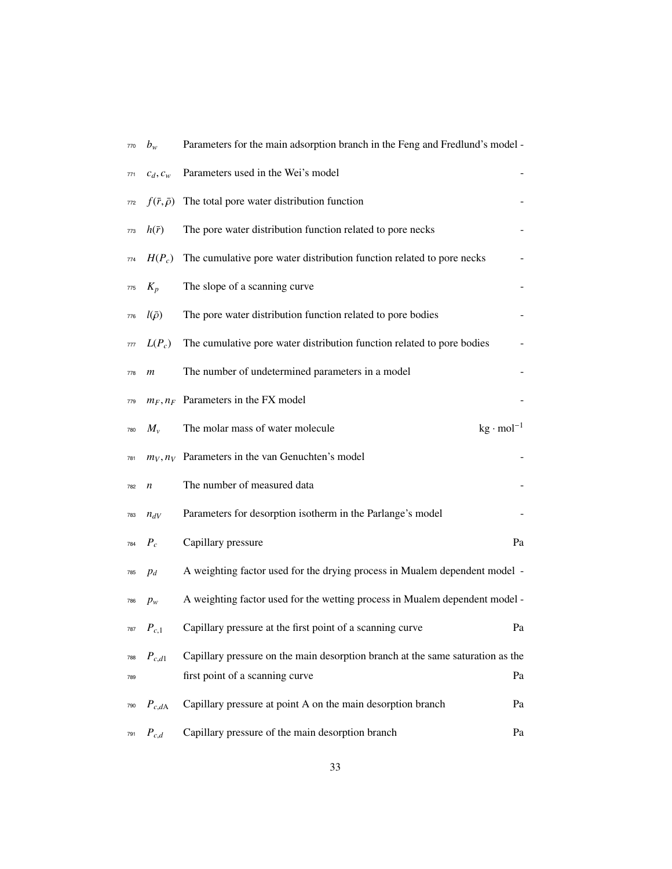| 770 | $b_w$                   | Parameters for the main adsorption branch in the Feng and Fredlund's model -   |    |
|-----|-------------------------|--------------------------------------------------------------------------------|----|
| 771 | $c_d, c_w$              | Parameters used in the Wei's model                                             |    |
| 772 | $f(\bar{r},\bar{\rho})$ | The total pore water distribution function                                     |    |
| 773 | $h(\bar{r})$            | The pore water distribution function related to pore necks                     |    |
| 774 | $H(P_c)$                | The cumulative pore water distribution function related to pore necks          |    |
| 775 | $K_p$                   | The slope of a scanning curve                                                  |    |
| 776 | $l(\bar{\rho})$         | The pore water distribution function related to pore bodies                    |    |
| 777 | $L(P_c)$                | The cumulative pore water distribution function related to pore bodies         |    |
| 778 | m                       | The number of undetermined parameters in a model                               |    |
| 779 |                         | $m_F, n_F$ Parameters in the FX model                                          |    |
| 780 | $M_{\nu}$               | $kg \cdot mol^{-1}$<br>The molar mass of water molecule                        |    |
| 781 |                         | $m_V, n_V$ Parameters in the van Genuchten's model                             |    |
| 782 | n                       | The number of measured data                                                    |    |
| 783 | $n_{dV}$                | Parameters for desorption isotherm in the Parlange's model                     |    |
| 784 | $P_c$                   | Capillary pressure                                                             | Pa |
| 785 | $p_d$                   | A weighting factor used for the drying process in Mualem dependent model -     |    |
| 786 | $p_w$                   | A weighting factor used for the wetting process in Mualem dependent model -    |    |
| 787 | $P_{c,1}$               | Capillary pressure at the first point of a scanning curve                      | Pa |
| 788 | $P_{c,d1}$              | Capillary pressure on the main desorption branch at the same saturation as the |    |
| 789 |                         | first point of a scanning curve                                                | Pa |
| 790 | $P_{c,dA}$              | Capillary pressure at point A on the main desorption branch                    | Pa |
| 791 | $P_{c,d}$               | Capillary pressure of the main desorption branch                               | Pa |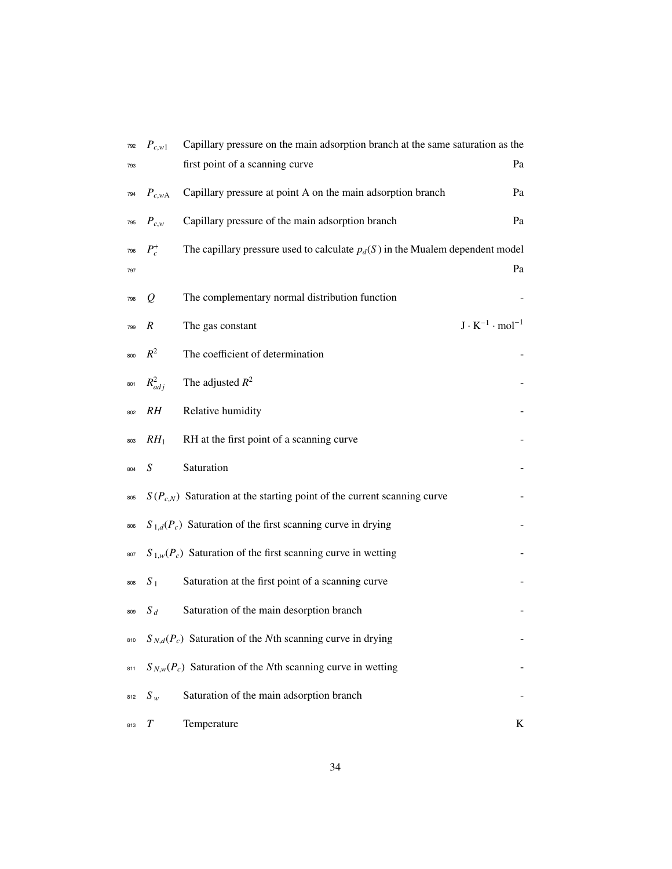| 792 | $P_{c,w1}$     | Capillary pressure on the main adsorption branch at the same saturation as the  |                                 |
|-----|----------------|---------------------------------------------------------------------------------|---------------------------------|
| 793 |                | first point of a scanning curve                                                 | Pa                              |
| 794 | $P_{c,wA}$     | Capillary pressure at point A on the main adsorption branch                     | Pa                              |
| 795 | $P_{c,w}$      | Capillary pressure of the main adsorption branch                                | Pa                              |
| 796 | $P_c^+$        | The capillary pressure used to calculate $p_d(S)$ in the Mualem dependent model |                                 |
| 797 |                |                                                                                 | Pa                              |
| 798 | $\mathcal{Q}$  | The complementary normal distribution function                                  |                                 |
| 799 | R              | The gas constant                                                                | $J \cdot K^{-1} \cdot mol^{-1}$ |
| 800 | $R^2$          | The coefficient of determination                                                |                                 |
| 801 | $R^2_{adj}$    | The adjusted $R^2$                                                              |                                 |
| 802 | RH             | Relative humidity                                                               |                                 |
| 803 | $RH_1$         | RH at the first point of a scanning curve                                       |                                 |
| 804 | S              | Saturation                                                                      |                                 |
| 805 |                | $S(P_{c,N})$ Saturation at the starting point of the current scanning curve     |                                 |
| 806 |                | $S_{1,d}(P_c)$ Saturation of the first scanning curve in drying                 |                                 |
| 807 |                | $S_{1,w}(P_c)$ Saturation of the first scanning curve in wetting                |                                 |
| 808 | S <sub>1</sub> | Saturation at the first point of a scanning curve                               |                                 |
| 809 | $S_d$          | Saturation of the main desorption branch                                        |                                 |
| 810 |                | $S_{N,d}(P_c)$ Saturation of the Nth scanning curve in drying                   |                                 |
| 811 |                | $S_{N,w}(P_c)$ Saturation of the Nth scanning curve in wetting                  |                                 |
| 812 | $S_w$          | Saturation of the main adsorption branch                                        |                                 |
| 813 | T              | Temperature                                                                     | K                               |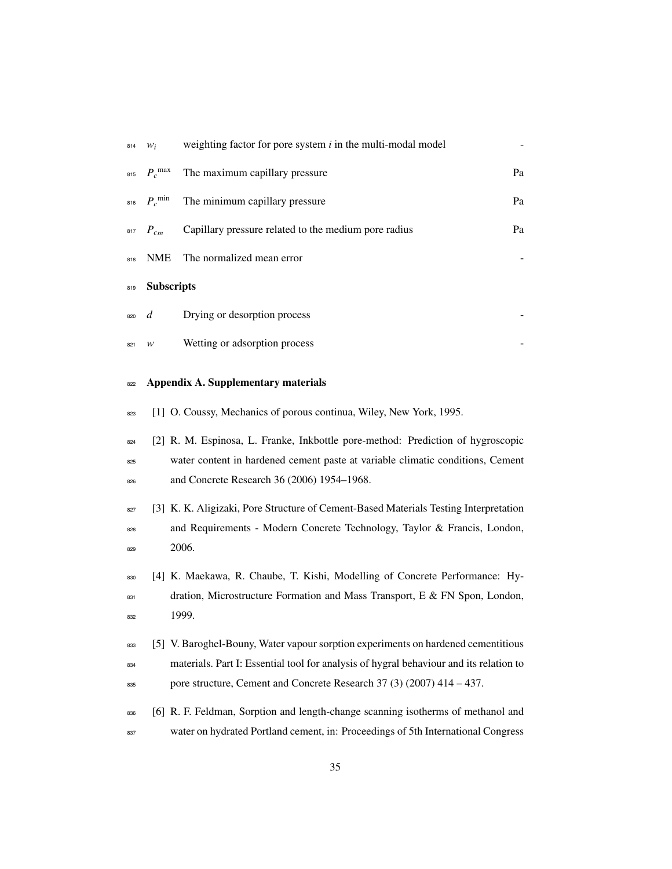|     |                   | $w_i$ weighting factor for pore system i in the multi-modal model |    |
|-----|-------------------|-------------------------------------------------------------------|----|
|     |                   | $_{815}$ $P_c$ <sup>max</sup> The maximum capillary pressure      | Pa |
|     |                   | $_{816}$ $P_c$ <sup>min</sup> The minimum capillary pressure      | Pa |
|     |                   | $P_{cm}$ Capillary pressure related to the medium pore radius     | Pa |
|     | 818 NME           | The normalized mean error                                         |    |
| 819 | <b>Subscripts</b> |                                                                   |    |
|     | 820 $d$           | Drying or desorption process                                      |    |
| 821 | W                 | Wetting or adsorption process                                     |    |
|     |                   |                                                                   |    |

## 822 Appendix A. Supplementary materials

- 823 [1] O. Coussy, Mechanics of porous continua, Wiley, New York, 1995.
- <sup>824</sup> [2] R. M. Espinosa, L. Franke, Inkbottle pore-method: Prediction of hygroscopic <sup>825</sup> water content in hardened cement paste at variable climatic conditions, Cement 826 and Concrete Research 36 (2006) 1954–1968.
- 827 [3] K. K. Aligizaki, Pore Structure of Cement-Based Materials Testing Interpretation 828 and Requirements - Modern Concrete Technology, Taylor & Francis, London, <sup>829</sup> 2006.
- <sup>830</sup> [4] K. Maekawa, R. Chaube, T. Kishi, Modelling of Concrete Performance: Hydration, Microstructure Formation and Mass Transport, E & FN Spon, London, <sup>832</sup> 1999.
- 833 [5] V. Baroghel-Bouny, Water vapour sorption experiments on hardened cementitious <sup>834</sup> materials. Part I: Essential tool for analysis of hygral behaviour and its relation to <sup>835</sup> pore structure, Cement and Concrete Research 37 (3) (2007) 414 – 437.
- 836 [6] R. F. Feldman, Sorption and length-change scanning isotherms of methanol and <sup>837</sup> water on hydrated Portland cement, in: Proceedings of 5th International Congress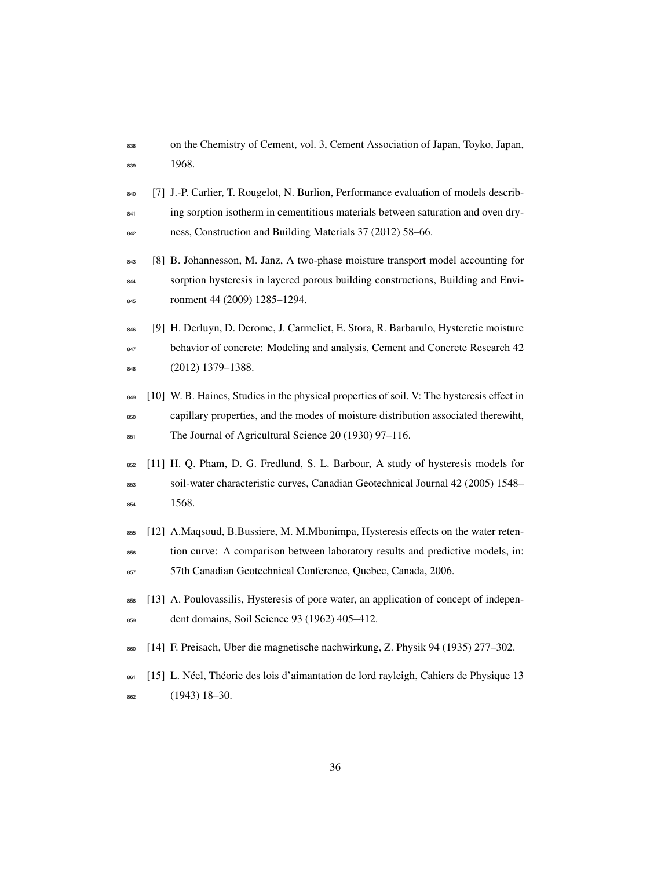- <sup>838</sup> on the Chemistry of Cement, vol. 3, Cement Association of Japan, Toyko, Japan, 839 1968.
- 840 [7] J.-P. Carlier, T. Rougelot, N. Burlion, Performance evaluation of models describ-<sup>841</sup> ing sorption isotherm in cementitious materials between saturation and oven dry-<sup>842</sup> ness, Construction and Building Materials 37 (2012) 58–66.
- 843 [8] B. Johannesson, M. Janz, A two-phase moisture transport model accounting for <sup>844</sup> sorption hysteresis in layered porous building constructions, Building and Envi-845 ronment 44 (2009) 1285-1294.
- 846 [9] H. Derluyn, D. Derome, J. Carmeliet, E. Stora, R. Barbarulo, Hysteretic moisture 847 behavior of concrete: Modeling and analysis, Cement and Concrete Research 42 <sup>848</sup> (2012) 1379–1388.
- 849 [10] W. B. Haines, Studies in the physical properties of soil. V: The hysteresis effect in <sup>850</sup> capillary properties, and the modes of moisture distribution associated therewiht, 851 The Journal of Agricultural Science 20 (1930) 97–116.
- <sup>852</sup> [11] H. Q. Pham, D. G. Fredlund, S. L. Barbour, A study of hysteresis models for <sup>853</sup> soil-water characteristic curves, Canadian Geotechnical Journal 42 (2005) 1548– <sup>854</sup> 1568.
- <sup>855</sup> [12] A.Maqsoud, B.Bussiere, M. M.Mbonimpa, Hysteresis effects on the water reten-<sup>856</sup> tion curve: A comparison between laboratory results and predictive models, in:
- <sup>857</sup> 57th Canadian Geotechnical Conference, Quebec, Canada, 2006.
- <sup>858</sup> [13] A. Poulovassilis, Hysteresis of pore water, an application of concept of indepen-<sup>859</sup> dent domains, Soil Science 93 (1962) 405–412.
- <sup>860</sup> [14] F. Preisach, Uber die magnetische nachwirkung, Z. Physik 94 (1935) 277–302.
- 861 [15] L. Néel, Théorie des lois d'aimantation de lord rayleigh, Cahiers de Physique 13 <sup>862</sup> (1943) 18–30.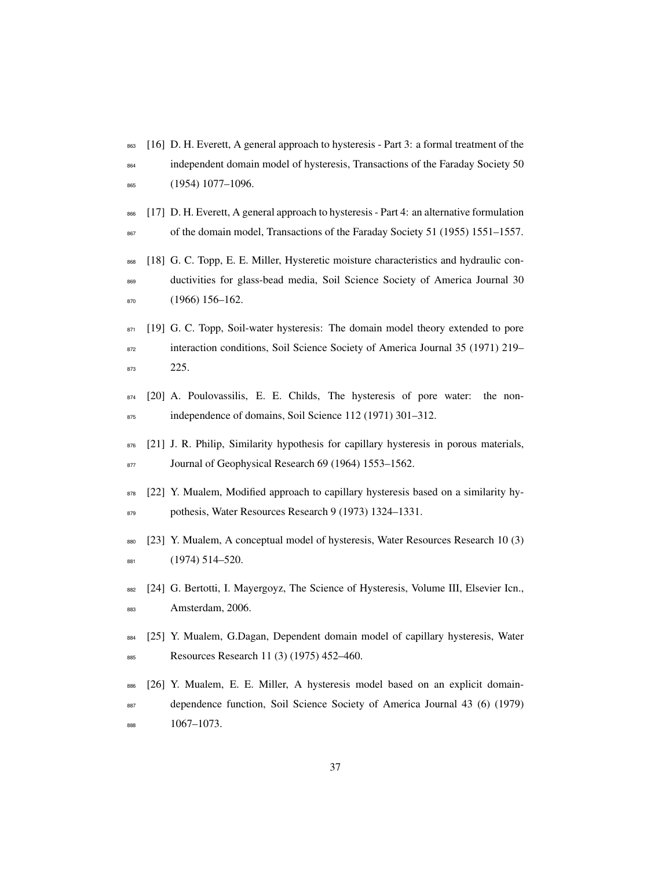- 863 [16] D. H. Everett, A general approach to hysteresis Part 3: a formal treatment of the
- <sup>864</sup> independent domain model of hysteresis, Transactions of the Faraday Society 50 <sup>865</sup> (1954) 1077–1096.
- 866 [17] D. H. Everett, A general approach to hysteresis Part 4: an alternative formulation <sup>867</sup> of the domain model, Transactions of the Faraday Society 51 (1955) 1551–1557.
- 868 [18] G. C. Topp, E. E. Miller, Hysteretic moisture characteristics and hydraulic conductivities for glass-bead media, Soil Science Society of America Journal 30 870 (1966) 156-162.
- $871$  [19] G. C. Topp, Soil-water hysteresis: The domain model theory extended to pore <sup>872</sup> interaction conditions, Soil Science Society of America Journal 35 (1971) 219– <sup>873</sup> 225.
- $874$  [20] A. Poulovassilis, E. E. Childs, The hysteresis of pore water: the non-B75 independence of domains, Soil Science 112 (1971) 301–312.
- 876 [21] J. R. Philip, Similarity hypothesis for capillary hysteresis in porous materials, 877 Journal of Geophysical Research 69 (1964) 1553-1562.
- $878$  [22] Y. Mualem, Modified approach to capillary hysteresis based on a similarity hy-879 pothesis, Water Resources Research 9 (1973) 1324–1331.
- 880 [23] Y. Mualem, A conceptual model of hysteresis, Water Resources Research 10 (3) 881 (1974) 514–520.
- 882 [24] G. Bertotti, I. Mayergoyz, The Science of Hysteresis, Volume III, Elsevier Icn., <sup>883</sup> Amsterdam, 2006.
- <sup>884</sup> [25] Y. Mualem, G.Dagan, Dependent domain model of capillary hysteresis, Water 885 Resources Research 11 (3) (1975) 452–460.
- <sup>886</sup> [26] Y. Mualem, E. E. Miller, A hysteresis model based on an explicit domain-<sup>887</sup> dependence function, Soil Science Society of America Journal 43 (6) (1979) <sup>888</sup> 1067–1073.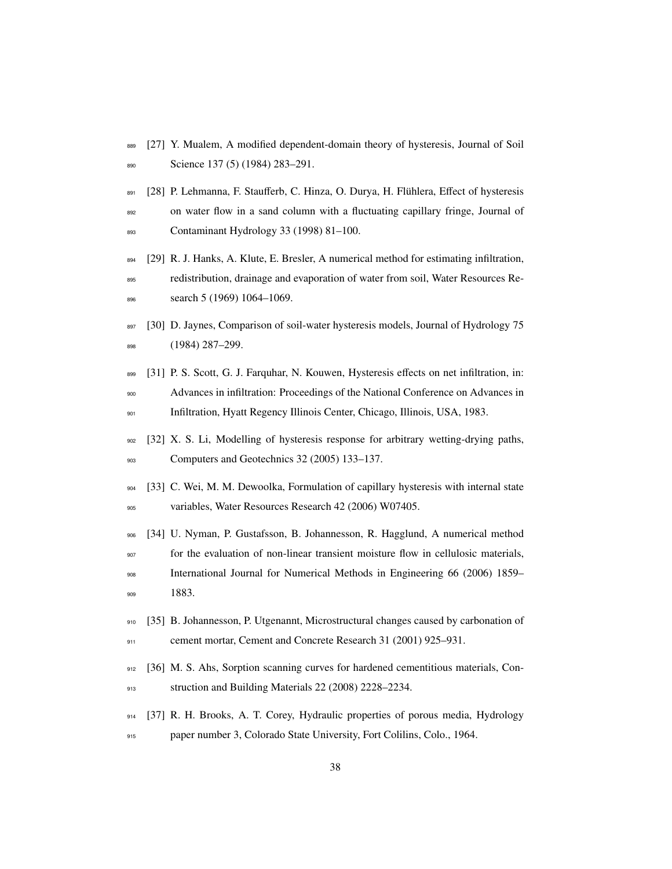- 889 [27] Y. Mualem, A modified dependent-domain theory of hysteresis, Journal of Soil 890 Science 137 (5) (1984) 283–291.
- 891 [28] P. Lehmanna, F. Staufferb, C. Hinza, O. Durya, H. Flühlera, Effect of hysteresis on water flow in a sand column with a fluctuating capillary fringe, Journal of Contaminant Hydrology 33 (1998) 81–100.
- [29] R. J. Hanks, A. Klute, E. Bresler, A numerical method for estimating infiltration, redistribution, drainage and evaporation of water from soil, Water Resources Re-search 5 (1969) 1064–1069.
- 897 [30] D. Jaynes, Comparison of soil-water hysteresis models, Journal of Hydrology 75 (1984) 287–299.
- 899 [31] P. S. Scott, G. J. Farquhar, N. Kouwen, Hysteresis effects on net infiltration, in: Advances in infiltration: Proceedings of the National Conference on Advances in Infiltration, Hyatt Regency Illinois Center, Chicago, Illinois, USA, 1983.
- 902 [32] X. S. Li, Modelling of hysteresis response for arbitrary wetting-drying paths, 903 Computers and Geotechnics 32 (2005) 133–137.
- [33] C. Wei, M. M. Dewoolka, Formulation of capillary hysteresis with internal state variables, Water Resources Research 42 (2006) W07405.
- [34] U. Nyman, P. Gustafsson, B. Johannesson, R. Hagglund, A numerical method for the evaluation of non-linear transient moisture flow in cellulosic materials, International Journal for Numerical Methods in Engineering 66 (2006) 1859–
- 1883.
- [35] B. Johannesson, P. Utgenannt, Microstructural changes caused by carbonation of 911 cement mortar, Cement and Concrete Research 31 (2001) 925–931.
- 912 [36] M. S. Ahs, Sorption scanning curves for hardened cementitious materials, Con-913 struction and Building Materials 22 (2008) 2228-2234.
- [37] R. H. Brooks, A. T. Corey, Hydraulic properties of porous media, Hydrology paper number 3, Colorado State University, Fort Colilins, Colo., 1964.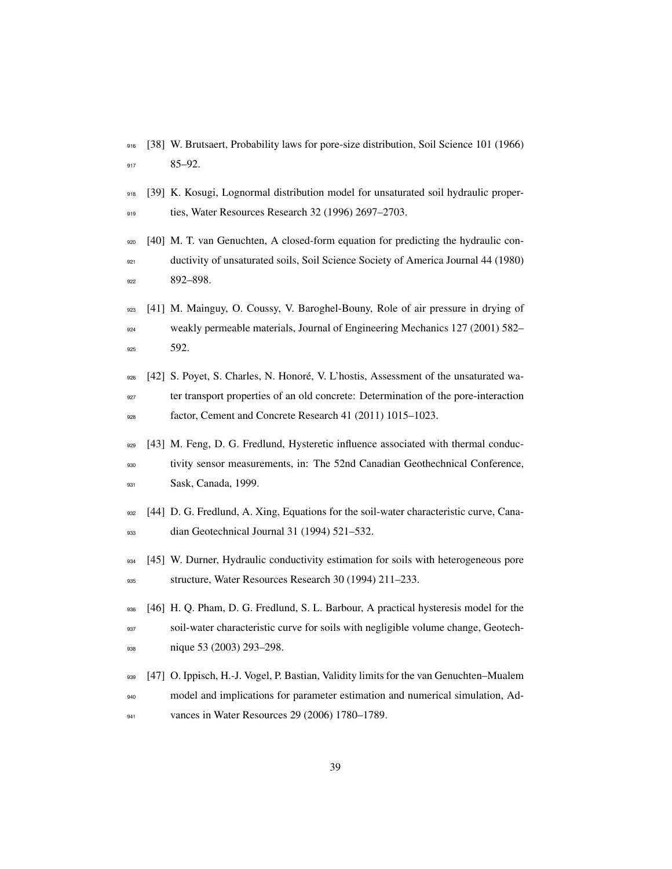- [38] W. Brutsaert, Probability laws for pore-size distribution, Soil Science 101 (1966) 85–92.
- [39] K. Kosugi, Lognormal distribution model for unsaturated soil hydraulic proper-919 ties, Water Resources Research 32 (1996) 2697-2703.
- [40] M. T. van Genuchten, A closed-form equation for predicting the hydraulic con- ductivity of unsaturated soils, Soil Science Society of America Journal 44 (1980) 922 892–898.
- [41] M. Mainguy, O. Coussy, V. Baroghel-Bouny, Role of air pressure in drying of weakly permeable materials, Journal of Engineering Mechanics 127 (2001) 582– 925 592.
- [42] S. Poyet, S. Charles, N. Honore, V. L'hostis, Assessment of the unsaturated wa- ´ ter transport properties of an old concrete: Determination of the pore-interaction factor, Cement and Concrete Research 41 (2011) 1015–1023.
- 929 [43] M. Feng, D. G. Fredlund, Hysteretic influence associated with thermal conduc- tivity sensor measurements, in: The 52nd Canadian Geothechnical Conference, **Sask, Canada**, 1999.
- 932 [44] D. G. Fredlund, A. Xing, Equations for the soil-water characteristic curve, Cana-dian Geotechnical Journal 31 (1994) 521–532.
- 934 [45] W. Durner, Hydraulic conductivity estimation for soils with heterogeneous pore structure, Water Resources Research 30 (1994) 211–233.
- 936 [46] H. Q. Pham, D. G. Fredlund, S. L. Barbour, A practical hysteresis model for the soil-water characteristic curve for soils with negligible volume change, Geotech-938 nique 53 (2003) 293-298.
- [47] O. Ippisch, H.-J. Vogel, P. Bastian, Validity limits for the van Genuchten–Mualem model and implications for parameter estimation and numerical simulation, Ad-vances in Water Resources 29 (2006) 1780–1789.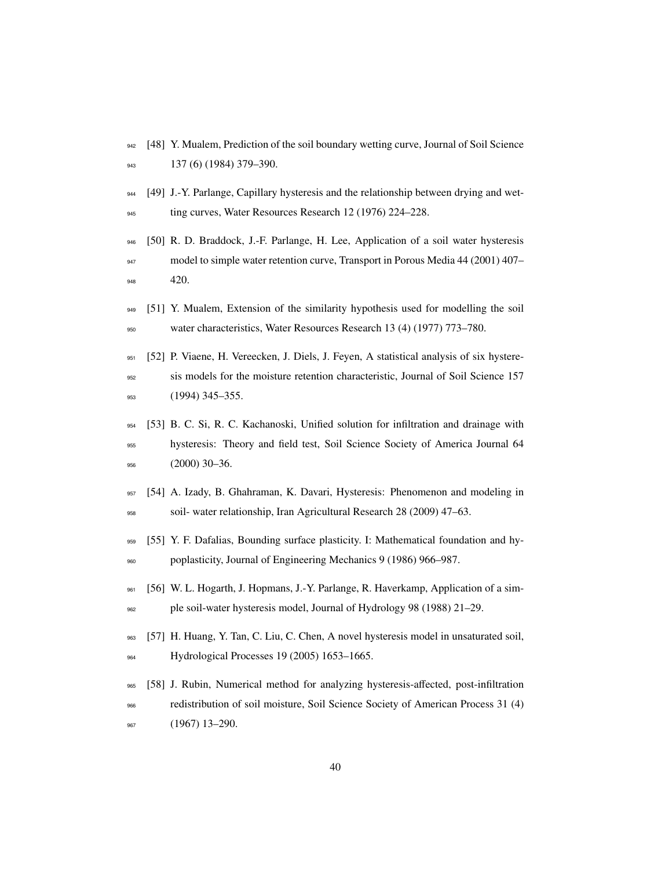- [48] Y. Mualem, Prediction of the soil boundary wetting curve, Journal of Soil Science 137 (6) (1984) 379–390.
- [49] J.-Y. Parlange, Capillary hysteresis and the relationship between drying and wet-945 ting curves, Water Resources Research 12 (1976) 224–228.
- [50] R. D. Braddock, J.-F. Parlange, H. Lee, Application of a soil water hysteresis model to simple water retention curve, Transport in Porous Media 44 (2001) 407– 420.
- 949 [51] Y. Mualem, Extension of the similarity hypothesis used for modelling the soil water characteristics, Water Resources Research 13 (4) (1977) 773–780.
- [52] P. Viaene, H. Vereecken, J. Diels, J. Feyen, A statistical analysis of six hystere- sis models for the moisture retention characteristic, Journal of Soil Science 157 953 (1994) 345–355.
- [53] B. C. Si, R. C. Kachanoski, Unified solution for infiltration and drainage with hysteresis: Theory and field test, Soil Science Society of America Journal 64 (2000) 30–36.
- [54] A. Izady, B. Ghahraman, K. Davari, Hysteresis: Phenomenon and modeling in soil- water relationship, Iran Agricultural Research 28 (2009) 47–63.
- 959 [55] Y. F. Dafalias, Bounding surface plasticity. I: Mathematical foundation and hy-poplasticity, Journal of Engineering Mechanics 9 (1986) 966–987.
- [56] W. L. Hogarth, J. Hopmans, J.-Y. Parlange, R. Haverkamp, Application of a sim-ple soil-water hysteresis model, Journal of Hydrology 98 (1988) 21–29.
- [57] H. Huang, Y. Tan, C. Liu, C. Chen, A novel hysteresis model in unsaturated soil, 964 Hydrological Processes 19 (2005) 1653–1665.
- [58] J. Rubin, Numerical method for analyzing hysteresis-affected, post-infiltration
- redistribution of soil moisture, Soil Science Society of American Process 31 (4) 967 (1967) 13-290.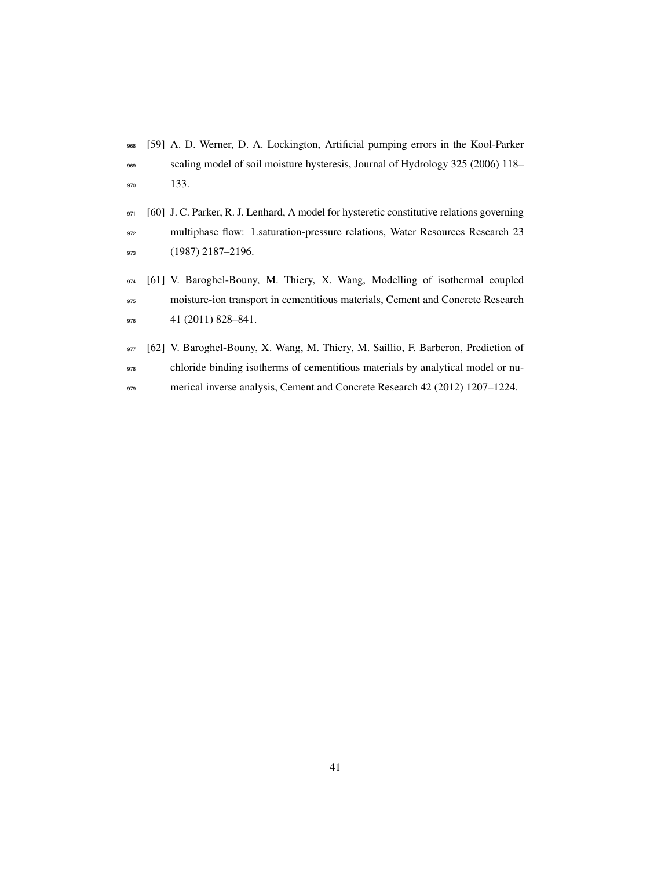- [59] A. D. Werner, D. A. Lockington, Artificial pumping errors in the Kool-Parker scaling model of soil moisture hysteresis, Journal of Hydrology 325 (2006) 118– 133.
- 971 [60] J. C. Parker, R. J. Lenhard, A model for hysteretic constitutive relations governing multiphase flow: 1.saturation-pressure relations, Water Resources Research 23 973 (1987) 2187-2196.
- [61] V. Baroghel-Bouny, M. Thiery, X. Wang, Modelling of isothermal coupled moisture-ion transport in cementitious materials, Cement and Concrete Research 976 41 (2011) 828-841.
- 977 [62] V. Baroghel-Bouny, X. Wang, M. Thiery, M. Saillio, F. Barberon, Prediction of chloride binding isotherms of cementitious materials by analytical model or nu-979 merical inverse analysis, Cement and Concrete Research 42 (2012) 1207–1224.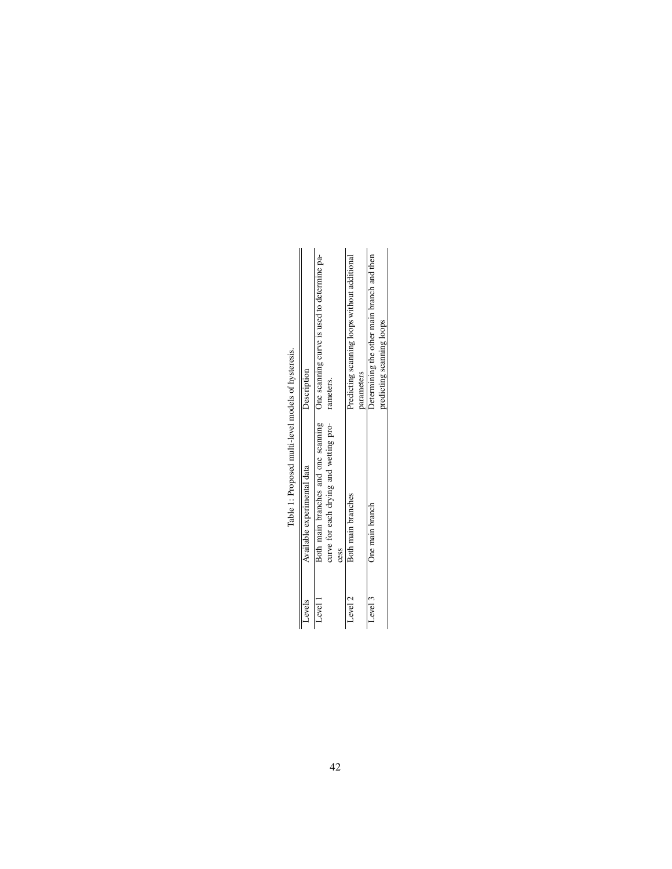| Levels  | Available experimental data            | Description                                                                                  |
|---------|----------------------------------------|----------------------------------------------------------------------------------------------|
| Level 1 | curve for each drying and wetting pro- | Both main branches and one scanning One scanning curve is used to determine pa-<br>rameters. |
|         | cess                                   |                                                                                              |
| Level 2 | Both main branches                     | Predicting scanning loops without additional                                                 |
|         |                                        | parameters                                                                                   |
| Level 3 | One main branch                        | betermining the other main branch and then                                                   |
|         |                                        | predicting scanning loops                                                                    |
|         |                                        |                                                                                              |

Table 1: Proposed multi-level models of hysteresis. Table 1: Proposed multi-level models of hysteresis.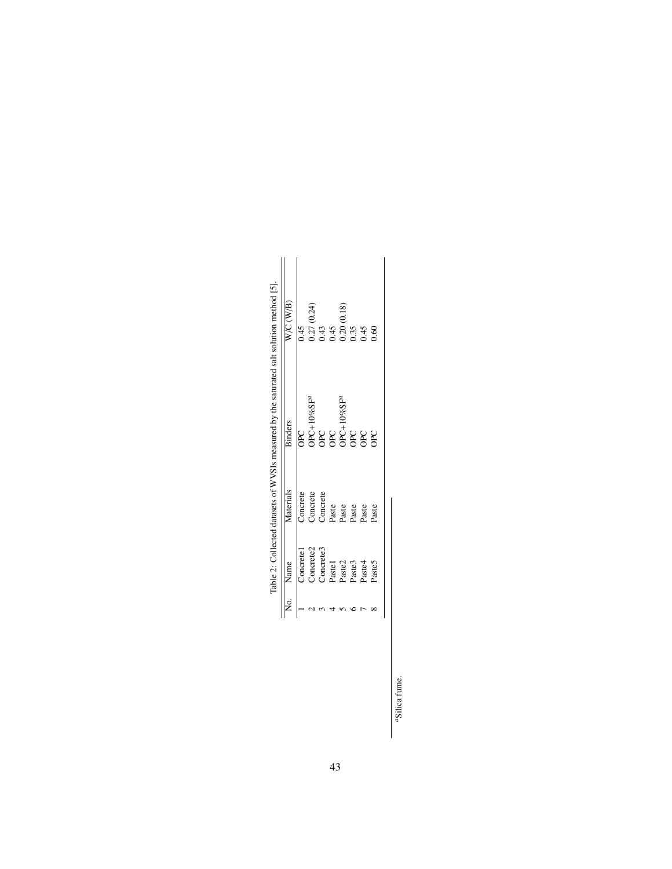| Table 2: Collected datasets of WVSIs measured by the saturated salt solution method [5].<br>Concrete3<br>Concrete <sub>2</sub><br>Concrete<br>Paste2<br>Name<br>Pastel<br>Paste3<br>Paste4<br>Paste5 |
|------------------------------------------------------------------------------------------------------------------------------------------------------------------------------------------------------|
|                                                                                                                                                                                                      |

"Silica fume. *a*Silica fume.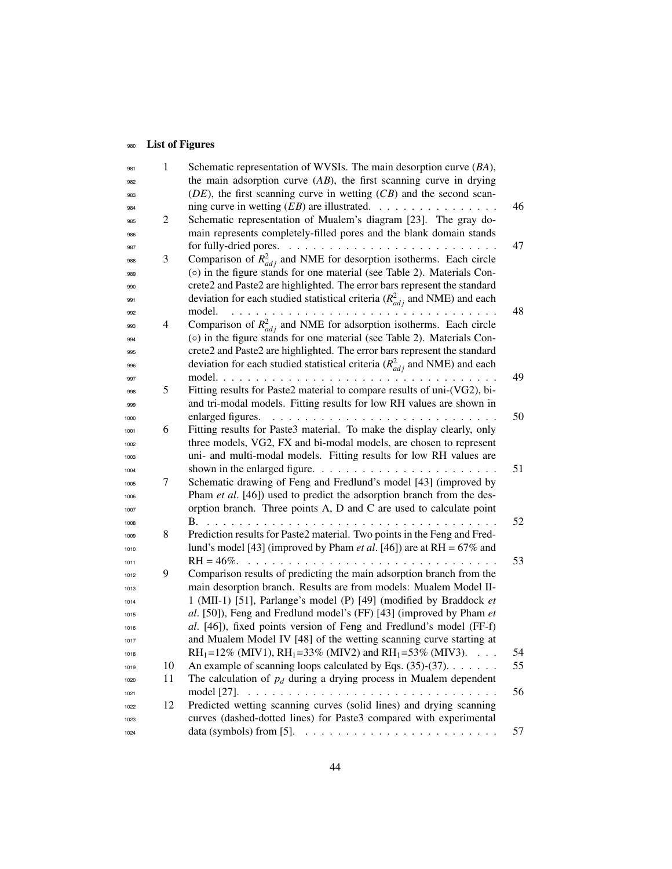## 980 List of Figures

| 981  | $\mathbf{1}$ | Schematic representation of WVSIs. The main desorption curve (BA),                                 |    |
|------|--------------|----------------------------------------------------------------------------------------------------|----|
| 982  |              | the main adsorption curve $(AB)$ , the first scanning curve in drying                              |    |
| 983  |              | $(DE)$ , the first scanning curve in wetting $(CB)$ and the second scan-                           |    |
| 984  |              |                                                                                                    | 46 |
| 985  | 2            | Schematic representation of Mualem's diagram [23]. The gray do-                                    |    |
| 986  |              | main represents completely-filled pores and the blank domain stands                                |    |
| 987  |              |                                                                                                    | 47 |
| 988  | 3            | Comparison of $R_{adj}^2$ and NME for desorption isotherms. Each circle                            |    |
| 989  |              | (o) in the figure stands for one material (see Table 2). Materials Con-                            |    |
| 990  |              | crete2 and Paste2 are highlighted. The error bars represent the standard                           |    |
| 991  |              | deviation for each studied statistical criteria ( $R_{adj}^2$ and NME) and each                    |    |
| 992  |              | model.<br>.                                                                                        | 48 |
|      | 4            | Comparison of $R_{adj}^2$ and NME for adsorption isotherms. Each circle                            |    |
| 993  |              | (o) in the figure stands for one material (see Table 2). Materials Con-                            |    |
| 994  |              | crete2 and Paste2 are highlighted. The error bars represent the standard                           |    |
| 995  |              |                                                                                                    |    |
| 996  |              | deviation for each studied statistical criteria ( $R_{adj}^2$ and NME) and each<br>model. $\ldots$ | 49 |
| 997  | 5            | Fitting results for Paste2 material to compare results of uni-(VG2), bi-                           |    |
| 998  |              | and tri-modal models. Fitting results for low RH values are shown in                               |    |
| 999  |              | enlarged figures.                                                                                  | 50 |
| 1000 | 6            | Fitting results for Paste3 material. To make the display clearly, only                             |    |
| 1001 |              | three models, VG2, FX and bi-modal models, are chosen to represent                                 |    |
| 1002 |              | uni- and multi-modal models. Fitting results for low RH values are                                 |    |
| 1003 |              |                                                                                                    | 51 |
| 1004 | 7            | Schematic drawing of Feng and Fredlund's model [43] (improved by                                   |    |
| 1005 |              | Pham et al. [46]) used to predict the adsorption branch from the des-                              |    |
| 1006 |              |                                                                                                    |    |
| 1007 |              | orption branch. Three points A, D and C are used to calculate point                                | 52 |
| 1008 |              |                                                                                                    |    |
| 1009 | 8            | Prediction results for Paste2 material. Two points in the Feng and Fred-                           |    |
| 1010 |              | lund's model [43] (improved by Pham <i>et al.</i> [46]) are at $RH = 67\%$ and                     |    |
| 1011 |              | $RH = 46\%$ .                                                                                      | 53 |
| 1012 | 9            | Comparison results of predicting the main adsorption branch from the                               |    |
| 1013 |              | main desorption branch. Results are from models: Mualem Model II-                                  |    |
| 1014 |              | 1 (MII-1) [51], Parlange's model (P) [49] (modified by Braddock et                                 |    |
| 1015 |              | al. [50]), Feng and Fredlund model's (FF) [43] (improved by Pham et                                |    |
| 1016 |              | al. [46]), fixed points version of Feng and Fredlund's model (FF-f)                                |    |
| 1017 |              | and Mualem Model IV [48] of the wetting scanning curve starting at                                 |    |
| 1018 |              | RH <sub>1</sub> =12% (MIV1), RH <sub>1</sub> =33% (MIV2) and RH <sub>1</sub> =53% (MIV3).          | 54 |
| 1019 | 10           | An example of scanning loops calculated by Eqs. $(35)-(37)$ .                                      | 55 |
| 1020 | 11           | The calculation of $p_d$ during a drying process in Mualem dependent                               |    |
| 1021 |              | model [27].                                                                                        | 56 |
| 1022 | 12           | Predicted wetting scanning curves (solid lines) and drying scanning                                |    |
| 1023 |              | curves (dashed-dotted lines) for Paste3 compared with experimental                                 |    |
| 1024 |              | data (symbols) from [5]. $\ldots \ldots \ldots \ldots \ldots \ldots \ldots \ldots$                 | 57 |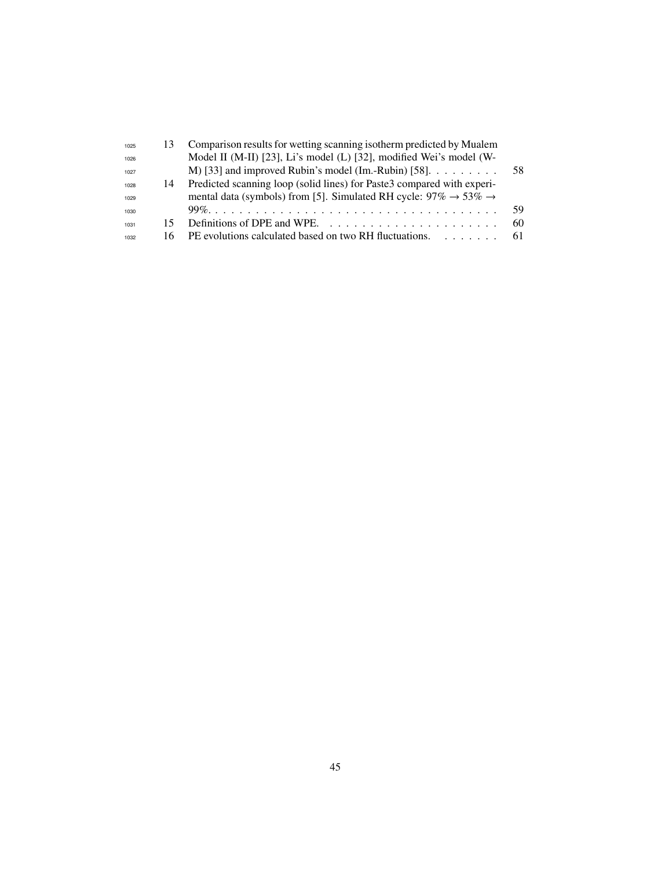| 1025 |    | Comparison results for wetting scanning isotherm predicted by Mualem                        |     |
|------|----|---------------------------------------------------------------------------------------------|-----|
| 1026 |    | Model II (M-II) [23], Li's model (L) [32], modified Wei's model (W-                         |     |
| 1027 |    | M) [33] and improved Rubin's model (Im.-Rubin) [58]. $\dots$                                | .58 |
| 1028 | 14 | Predicted scanning loop (solid lines) for Paste3 compared with experi-                      |     |
| 1029 |    | mental data (symbols) from [5]. Simulated RH cycle: $97\% \rightarrow 53\% \rightarrow$     |     |
| 1030 |    |                                                                                             | 59  |
| 1031 |    | Definitions of DPE and WPE. $\ldots$ , $\ldots$ , $\ldots$ , $\ldots$ , $\ldots$ , $\ldots$ | 60  |
| 1032 |    | 16 PE evolutions calculated based on two RH fluctuations.                                   | 61  |
|      |    |                                                                                             |     |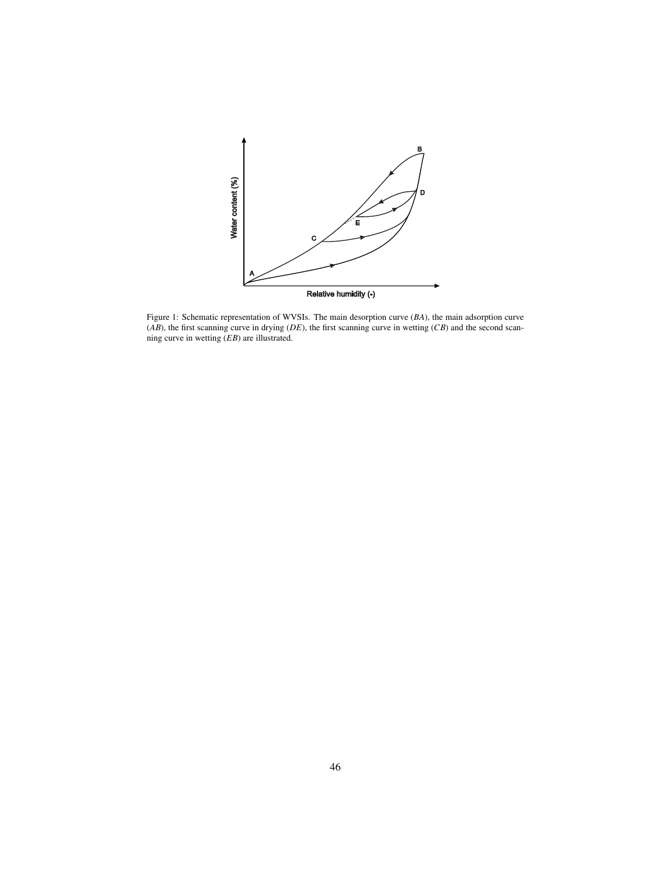

Figure 1: Schematic representation of WVSIs. The main desorption curve (*BA*), the main adsorption curve (*AB*), the first scanning curve in drying (*DE*), the first scanning curve in wetting (*CB*) and the second scanning curve in wetting (*EB*) are illustrated.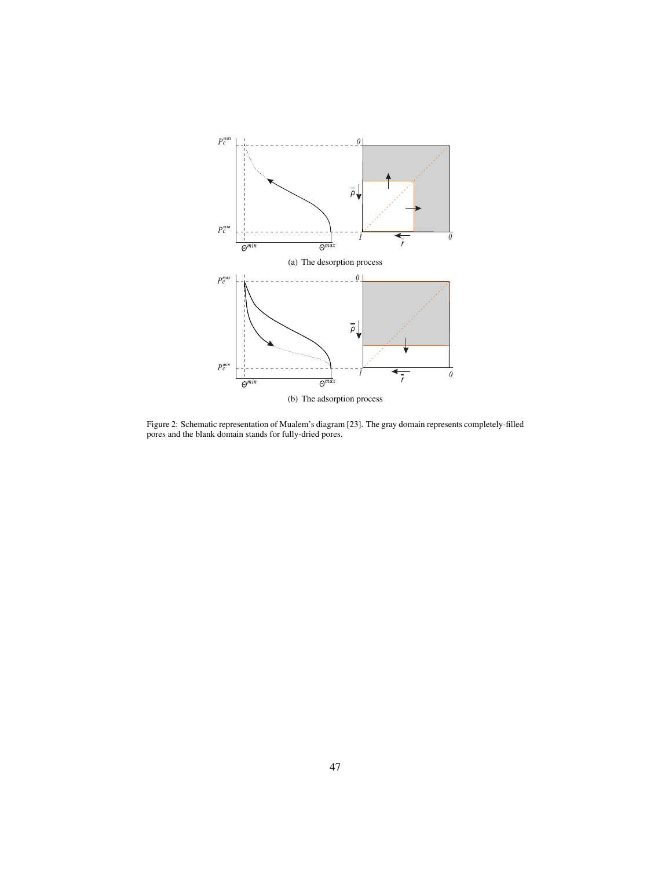

Figure 2: Schematic representation of Mualem's diagram [23]. The gray domain represents completely-filled pores and the blank domain stands for fully-dried pores.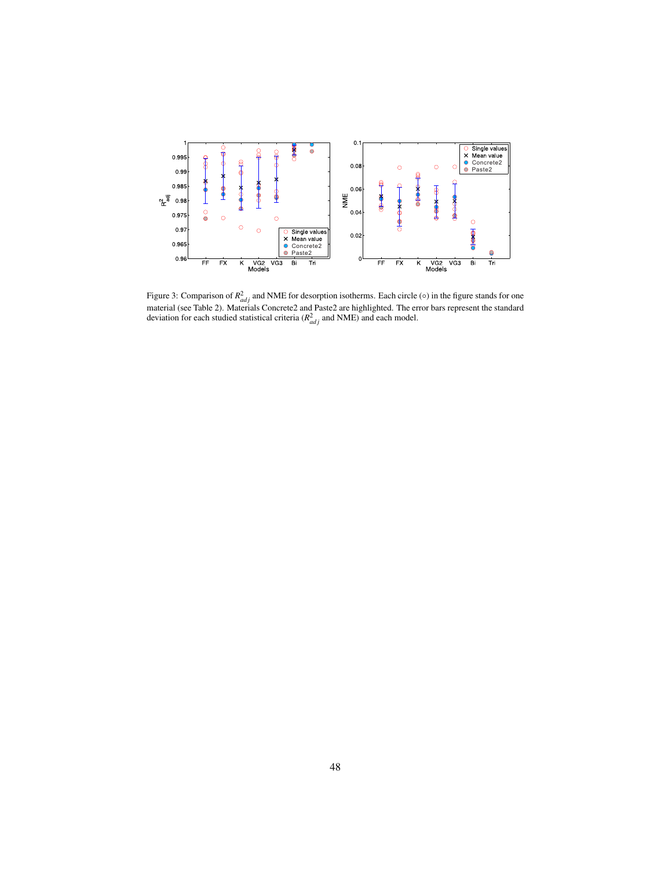

Figure 3: Comparison of  $R_{adj}^2$  and NME for desorption isotherms. Each circle ( $\circ$ ) in the figure stands for one material (see Table 2). Materials Concrete2 and Paste2 are highlighted. The error bars represent the standard deviation for each studied statistical criteria ( $R_{adj}^2$  and NME) and each model.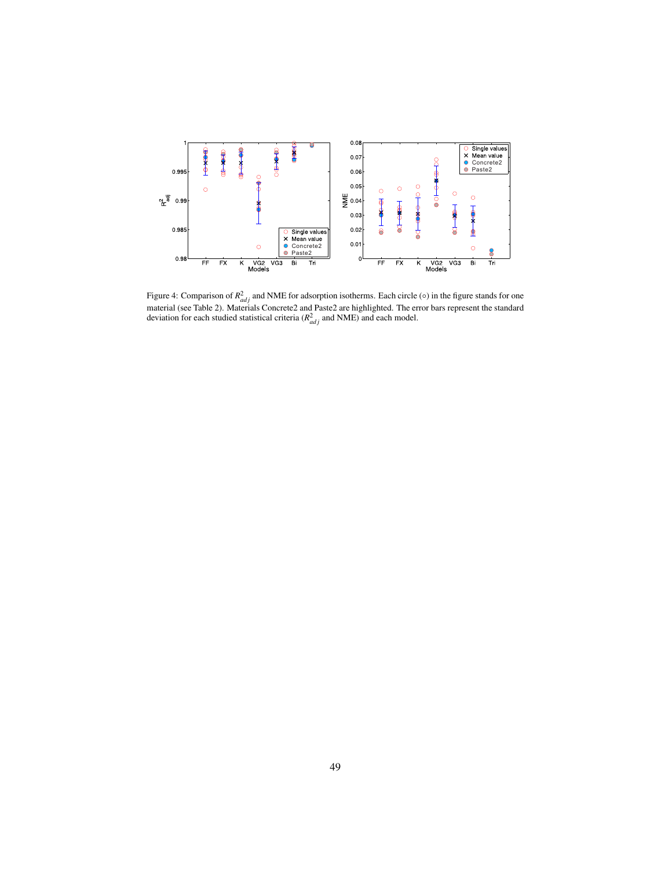

Figure 4: Comparison of  $R_{adj}^2$  and NME for adsorption isotherms. Each circle ( $\circ$ ) in the figure stands for one material (see Table 2). Materials Concrete2 and Paste2 are highlighted. The error bars represent the standard deviation for each studied statistical criteria ( $R_{adj}^2$  and NME) and each model.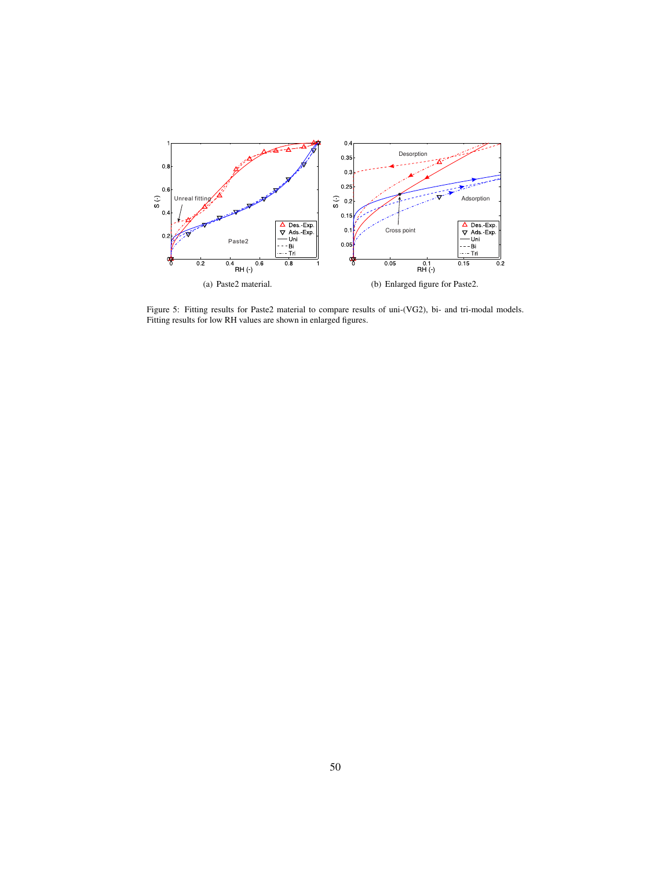

Figure 5: Fitting results for Paste2 material to compare results of uni-(VG2), bi- and tri-modal models. Fitting results for low RH values are shown in enlarged figures.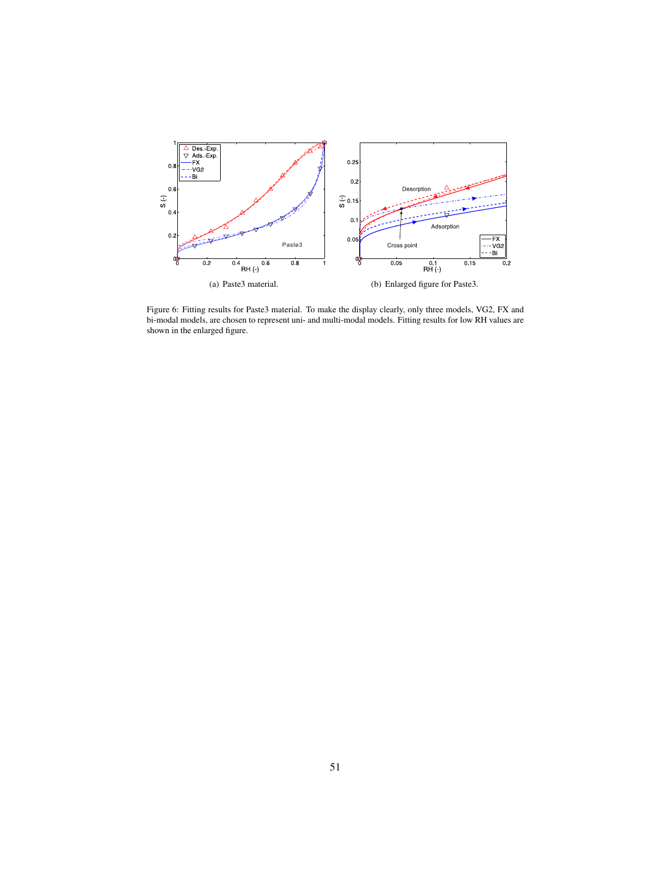

Figure 6: Fitting results for Paste3 material. To make the display clearly, only three models, VG2, FX and bi-modal models, are chosen to represent uni- and multi-modal models. Fitting results for low RH values are shown in the enlarged figure.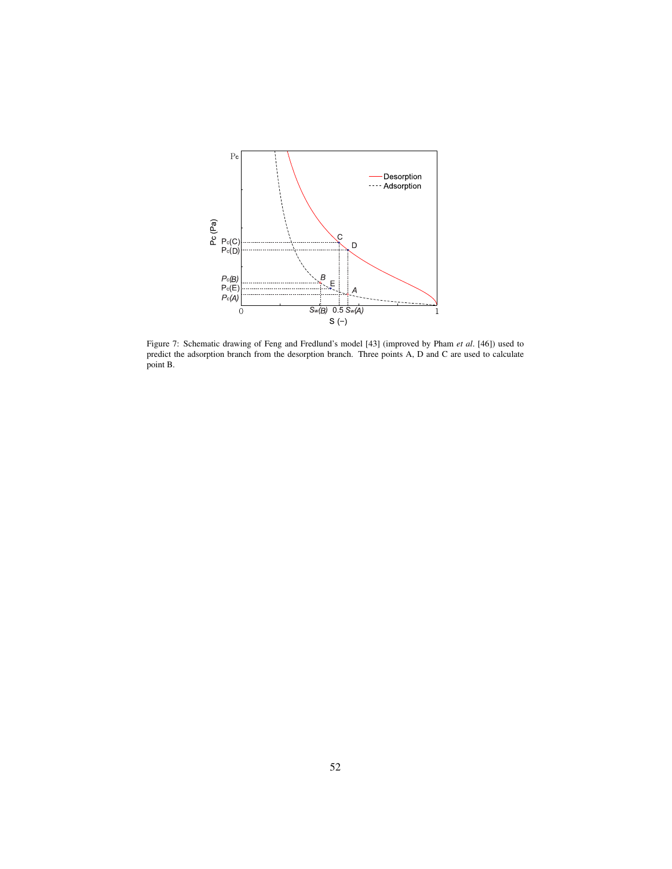

Figure 7: Schematic drawing of Feng and Fredlund's model [43] (improved by Pham *et al*. [46]) used to predict the adsorption branch from the desorption branch. Three points A, D and C are used to calculate point B.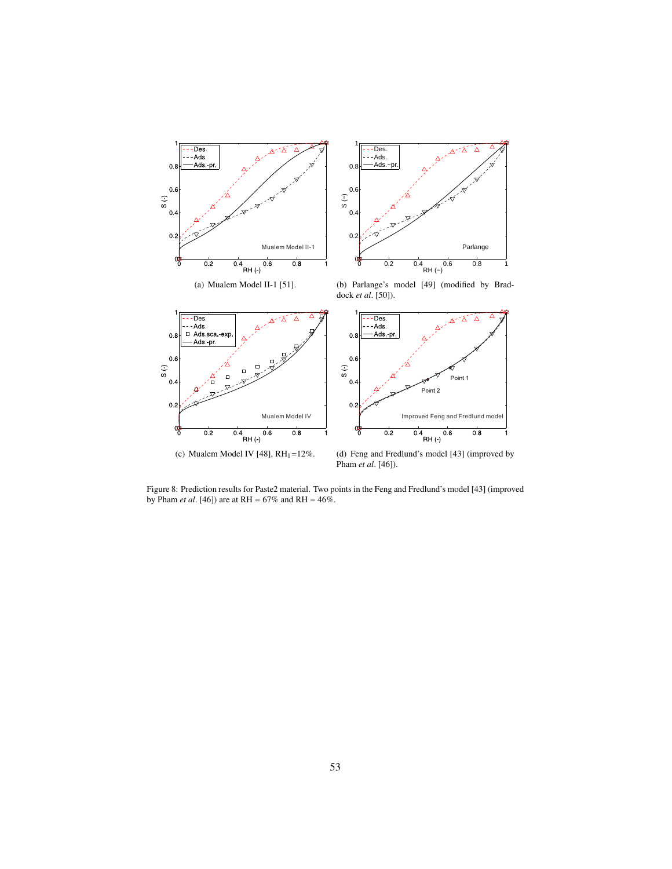

Figure 8: Prediction results for Paste2 material. Two points in the Feng and Fredlund's model [43] (improved by Pham *et al*. [46]) are at RH = 67% and RH = 46%.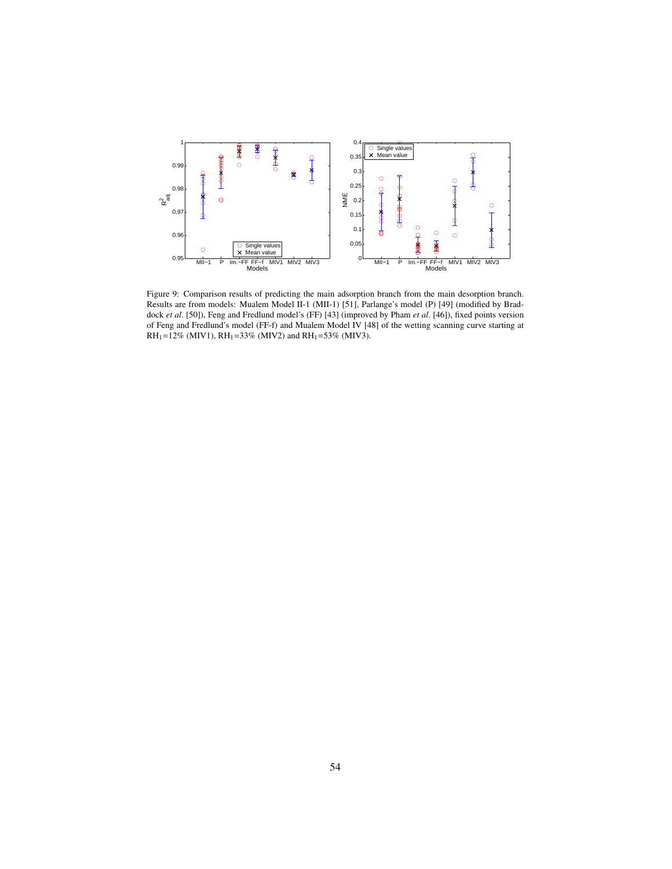

Figure 9: Comparison results of predicting the main adsorption branch from the main desorption branch. Results are from models: Mualem Model II-1 (MII-1) [51], Parlange's model (P) [49] (modified by Braddock *et al*. [50]), Feng and Fredlund model's (FF) [43] (improved by Pham *et al*. [46]), fixed points version of Feng and Fredlund's model (FF-f) and Mualem Model IV [48] of the wetting scanning curve starting at RH<sub>1</sub>=12% (MIV1), RH<sub>1</sub>=33% (MIV2) and RH<sub>1</sub>=53% (MIV3).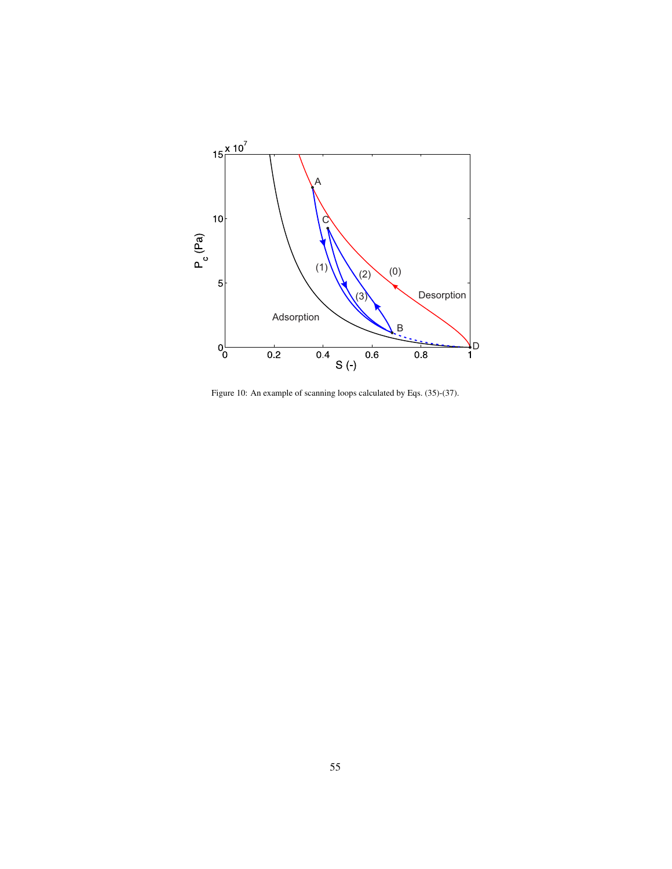

Figure 10: An example of scanning loops calculated by Eqs. (35)-(37).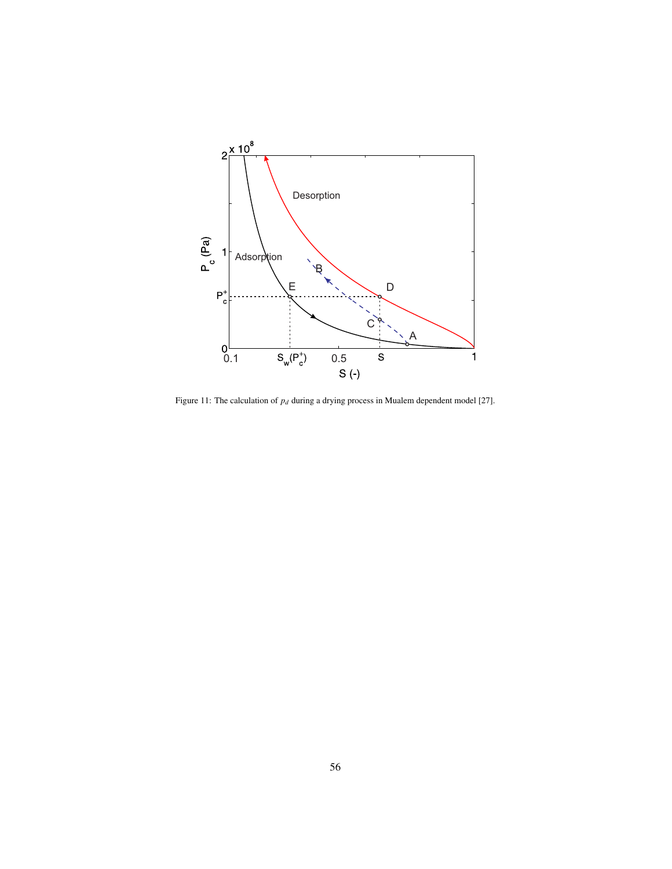

Figure 11: The calculation of  $p_d$  during a drying process in Mualem dependent model [27].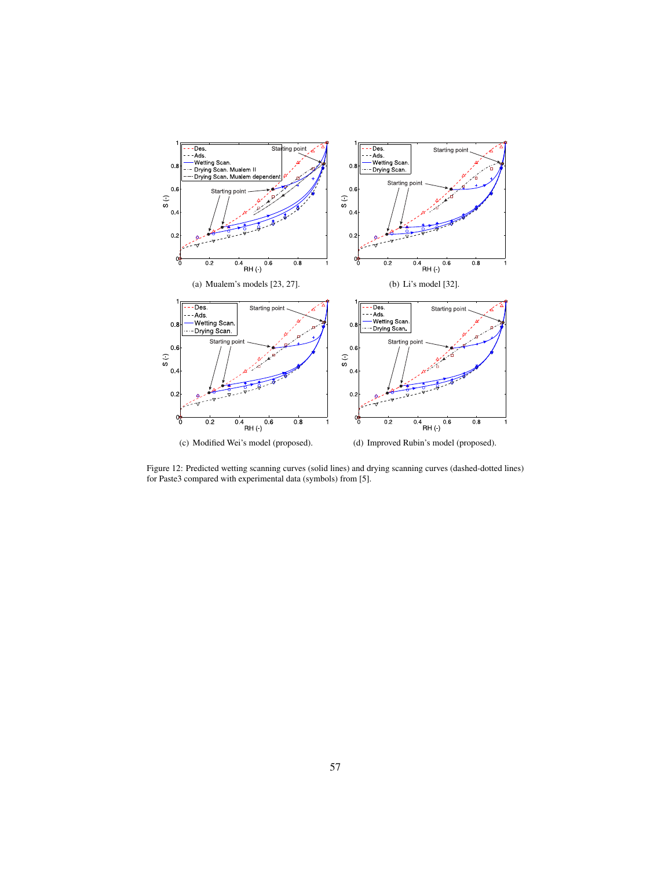

Figure 12: Predicted wetting scanning curves (solid lines) and drying scanning curves (dashed-dotted lines) for Paste3 compared with experimental data (symbols) from [5].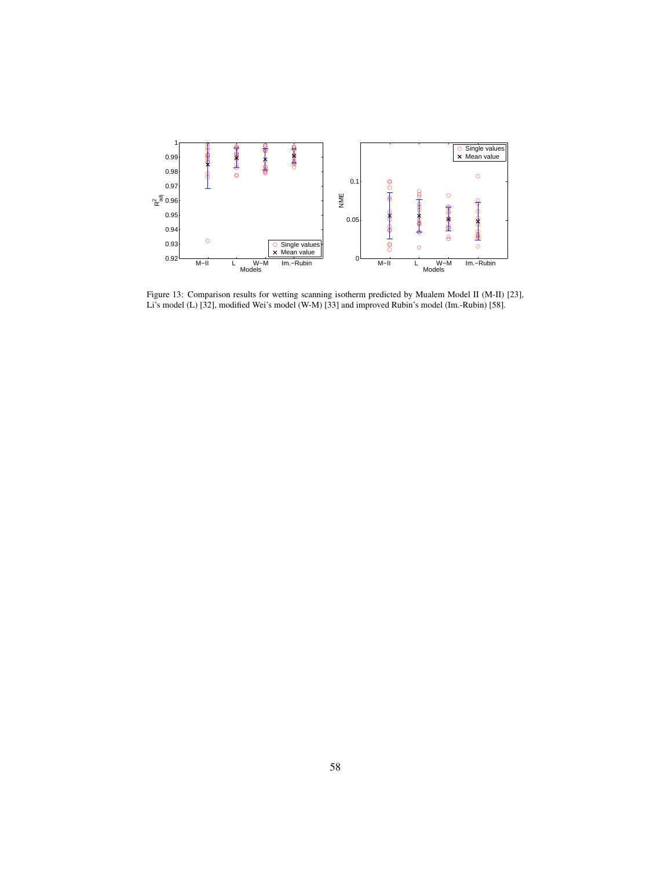

Figure 13: Comparison results for wetting scanning isotherm predicted by Mualem Model II (M-II) [23], Li's model (L) [32], modified Wei's model (W-M) [33] and improved Rubin's model (Im.-Rubin) [58].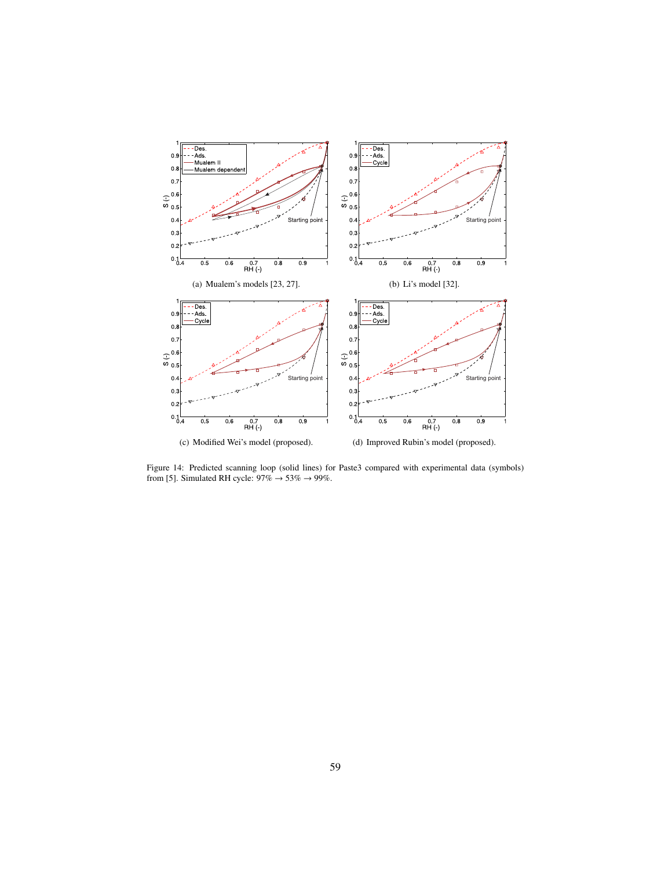

Figure 14: Predicted scanning loop (solid lines) for Paste3 compared with experimental data (symbols) from [5]. Simulated RH cycle:  $97\% \rightarrow 53\% \rightarrow 99\%$ .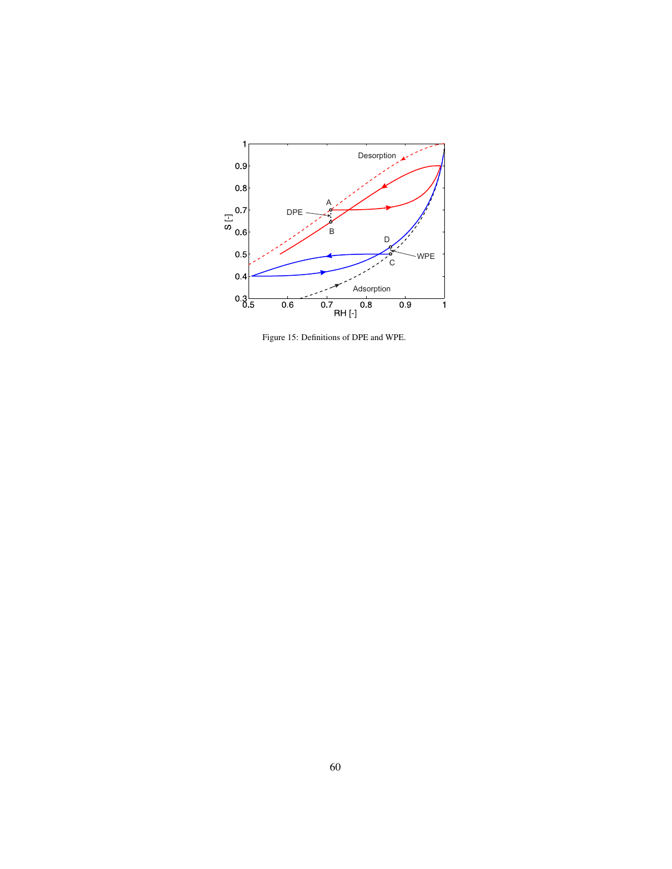

Figure 15: Definitions of DPE and WPE.